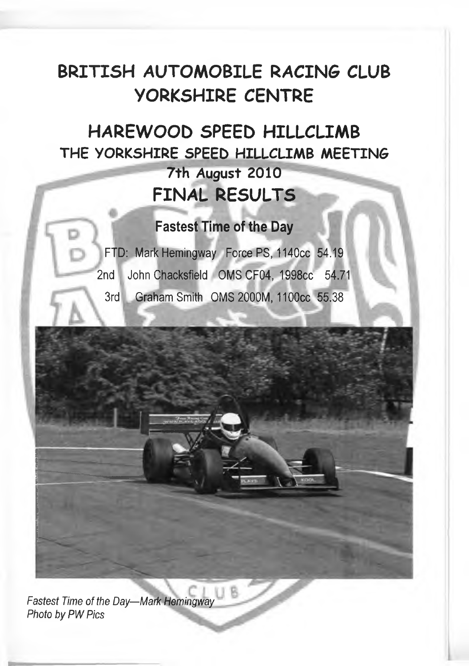### **BRITISH AUTOMOBILE RACING CLUB YORKSHIRE CENTRE**

### **HAREWOOD SPEED HILLCLIMB THE YORKSHIRE SPEED HILLCLIMB MEETING 7th August 2010 FINAL RESULTS**

### **Fastest Time of the Day**

FTD: Mark Hemingway Force PS, 1140cc 54.19 2nd John Chacksfield OMS CF04, 1998cc 54.71 3rd Graham Smith OMS 2000M, 1100cc 55.38

*Fastest Time of the Day—Mark Hemingway* **Photo by PW Pics**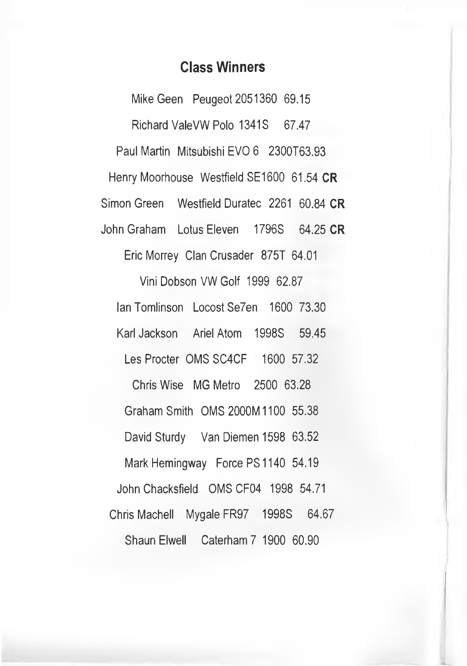### **Class Winners**

Mike Geen Peugeot 2051360 69.15 Richard ValeVW Polo 1341S 67.47 Paul Martin Mitsubishi EVO 6 2300T63.93 Henry Moorhouse Westfield SE1600 61.54 **CR** Simon Green Westfield Duratec 2261 60.84 **CR** John Graham Lotus Eleven 1796S 64.25 **CR** Eric Morrey Clan Crusader 875T 64.01 Vini Dobson VW Golf 1999 62.87 Ian Tomlinson Locost Se7en 1600 73.30 KarlJackson Ariel Atom 1998S 59.45 Les Procter OMS SC4CF 1600 57.32 Chris Wise MG Metro 2500 63.28 Graham Smith OMS2000M1100 55.38 David Sturdy Van Diemen 1598 63.52 Mark Hemingway Force PS1140 54.19 John Chacksfield OMSCF04 1998 54.71 Chris Machell Mygale FR97 1998S 64.67 Shaun Elwell Caterham 7 1900 60.90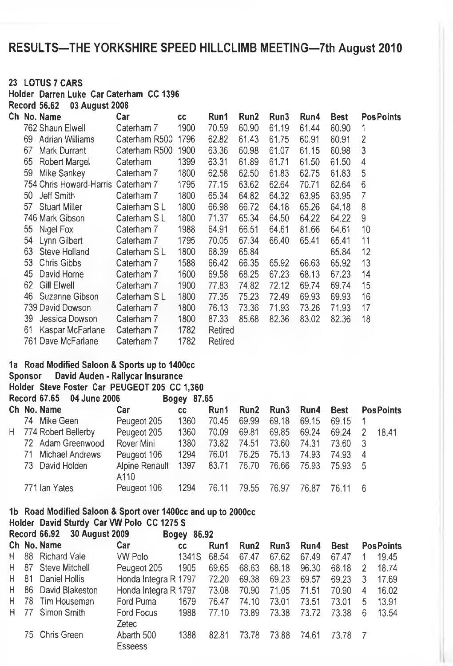### **RESULTS-THE YORKSHIRE SPEED HILLCLIMB MEETING-7th August 2010**

#### **23 LOTUS 7 CARS**

**Holder Darren Luke CarCaterham CC1396**

**Record 56.62 03 August 2008**

|   |                | Ch No. Name                                   | Car                              | <b>CC</b>   | Run1    | Run <sub>2</sub> | Run3  | Run4  | <b>Best</b> | <b>PosPoints</b>        |
|---|----------------|-----------------------------------------------|----------------------------------|-------------|---------|------------------|-------|-------|-------------|-------------------------|
|   |                | 762 Shaun Elwell                              | Caterham 7                       | 1900        | 70.59   | 60.90            | 61.19 | 61.44 | 60.90       | 1                       |
|   |                | 69 Adrian Williams                            | Caterham R500                    | 1796        | 62.82   | 61.43            | 61.75 | 60.91 | 60.91       | 2                       |
|   | 67             | Mark Durrant                                  | Caterham R500                    | 1900        | 63.36   | 60.98            | 61.07 | 61.15 | 60.98       | 3                       |
|   | 65             | Robert Margel                                 | Caterham                         | 1399        | 63.31   | 61.89            | 61.71 | 61.50 | 61.50       | 4                       |
|   | 59             | Mike Sankey                                   | Caterham 7                       | 1800        | 62.58   | 62.50            | 61.83 | 62.75 | 61.83       | 5                       |
|   |                | 754 Chris Howard-Harris Caterham 7            |                                  | 1795        | 77.15   | 63.62            | 62.64 | 70.71 | 62.64       | 6                       |
|   | 50             | Jeff Smith                                    | Caterham 7                       | 1800        | 65.34   | 64.82            | 64.32 | 63.95 | 63.95       | 7                       |
|   | 57             | Stuart Miller                                 | Caterham SL                      | 1800        | 66.98   | 66.72            | 64.18 | 65.26 | 64.18       | 8                       |
|   |                | 746 Mark Gibson                               | Caterham SL                      | 1800        | 71.37   | 65.34            | 64.50 | 64.22 | 64.22       | 9                       |
|   | 55             | Nigel Fox                                     | Caterham 7                       | 1988        | 64.91   | 66.51            | 64.61 | 81.66 | 64.61       | 10                      |
|   | 54             | Lynn Gilbert                                  | Caterham 7                       | 1795        | 70.05   | 67.34            | 66,40 | 65.41 | 65.41       | 11                      |
|   | 63             | Steve Holland                                 | Caterham SL                      | 1800        | 68.39   | 65.84            |       |       | 65.84       | 12                      |
|   | 53             | Chris Gibbs                                   | Caterham 7                       | 1588        | 66.42   | 66.35            | 65.92 | 66.63 | 65.92       | 13                      |
|   | 45             | David Horne                                   | Caterham 7                       | 1600        | 69.58   | 68.25            | 67.23 | 68.13 | 67.23       | 14                      |
|   | 62             | <b>Gill Elwell</b>                            | Caterham 7                       | 1900        | 77.83   | 74.82            | 72.12 | 69.74 | 69.74       | 15                      |
|   | 46             | Suzanne Gibson                                | Caterham SL                      | 1800        | 77.35   | 75.23            | 72.49 | 69.93 | 69.93       | 16                      |
|   |                | 739 David Dowson                              | Caterham 7                       | 1800        | 76.13   | 73.36            | 71.93 | 73.26 | 71.93       | 17                      |
|   | 39             | Jessica Dowson                                | Caterham 7                       | 1800        | 87.33   | 85.68            | 82.36 | 83.02 | 82.36       | 18                      |
|   | 61             | Kaspar McFarlane                              | Caterham 7                       | 1782        | Retired |                  |       |       |             |                         |
|   |                | 761 Dave McFarlane                            | Caterham 7                       | 1782        | Retired |                  |       |       |             |                         |
|   |                | 1a Road Modified Saloon & Sports up to 1400cc |                                  |             |         |                  |       |       |             |                         |
|   | <b>Sponsor</b> |                                               | David Auden - Rallycar Insurance |             |         |                  |       |       |             |                         |
|   |                | Holder Steve Foster Car PEUGEOT 205 CC 1,360  |                                  |             |         |                  |       |       |             |                         |
|   |                | <b>Record 67.65</b><br>04 June 2006           |                                  | Bogey 87.65 |         |                  |       |       |             |                         |
|   |                | Ch No. Name                                   | Car                              | cc          | Run1    | Run2             | Run3  | Run4  | <b>Best</b> | <b>PosPoints</b>        |
|   |                | 74 Mike Geen                                  | Peugeot 205                      | 1360        | 70.45   | 69.99            | 69.18 | 69.15 | 69.15       | 1                       |
| н |                | 774 Robert Bellerby                           | Peugeot 205                      | 1360        | 70.09   | 69.81            | 69.85 | 69.24 | 69.24       | $\overline{2}$<br>18.41 |
|   |                | 72 Adam Greenwood                             | Rover Mini                       | 1380        | 73.82   | 74.51            | 73.60 | 74.31 | 73.60       | 3                       |
|   | 71             | Michael Andrews                               | Peugeot 106                      | 1294        | 76.01   | 76.25            | 75.13 | 74.93 | 74.93       | 4                       |
|   | 73             | David Holden                                  | Alpine Renault                   | 1397        | 83.71   | 76.70            | 76.66 | 75.93 | 75.93       | 5                       |
|   |                |                                               | A110                             |             |         |                  |       |       |             |                         |

### **1b Road Modified Saloon & Sport over 1400cc and up to 2000cc**

Holder David Sturdy Car VW Polo CC 1275 S

771 Ian Yates

| Record 66.92 30 August 2009<br>Bogey 86.92 |  |                     |                              |       |       |       |       |       |             |   |                  |
|--------------------------------------------|--|---------------------|------------------------------|-------|-------|-------|-------|-------|-------------|---|------------------|
|                                            |  | Ch No. Name         | Car                          | cс    | Run1  | Run2  | Run3  | Run4  | <b>Best</b> |   | <b>PosPoints</b> |
| H.                                         |  | 88 Richard Vale     | VW Polo                      | 1341S | 68.54 | 67.47 | 67.62 | 67.49 | 67.47       |   | 19.45            |
|                                            |  | H 87 Steve Mitchell | Peugeot 205                  | 1905  | 69.65 | 68.63 | 68.18 | 96.30 | 68.18       | 2 | 18.74            |
| H.                                         |  | 81 Daniel Hollis    | Honda Integra R 1797         |       | 72.20 | 69.38 | 69.23 | 69.57 | 69.23       | 3 | 17.69            |
| Н.                                         |  | 86 David Blakeston  | Honda Integra R 1797         |       | 73.08 | 70.90 | 71.05 | 71.51 | 70.90       | 4 | 16.02            |
| H.                                         |  | 78 Tim Houseman     | Ford Puma                    | 1679  | 76.47 | 74.10 | 73.01 | 73.51 | 73.01       | 5 | 13.91            |
| H.                                         |  | 77 Simon Smith      | Ford Focus<br>Zetec          | 1988  | 77.10 | 73.89 | 73.38 | 73.72 | 73.38       | 6 | 13.54            |
|                                            |  | 75 Chris Green      | Abarth 500<br><b>Esseess</b> | 1388  | 82.81 | 73.78 | 73.88 | 74.61 | 73.78       |   |                  |

Peugeot 106 1294 76.11 79.55 76.97 76.87 76.11 6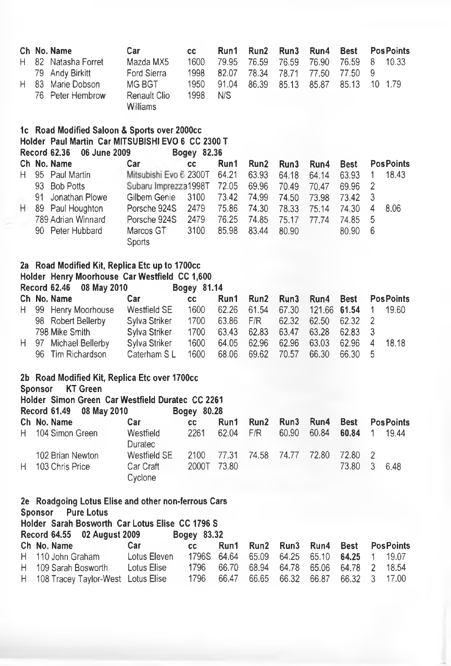| Н<br>н | 79<br>83       | Ch No. Name<br>82 Natasha Forret<br>Andy Birkitt<br>Marie Dobson<br>76 Peter Hembrow     | Car<br>Mazda MX5<br>Ford Sierra<br><b>MG BGT</b><br>Renault Clio<br>Williams | cc<br>1600<br>1998<br>1950<br>1998 | Run1<br>79.95<br>82.07<br>91.04<br>N/S | Run2<br>76.59<br>78.34<br>86.39 | Run3<br>76.59<br>78.71<br>85.13 | Run4<br>76.90<br>77.50<br>85.87 | <b>Best</b><br>76.59<br>77.50<br>85.13 | 8<br>9<br>10        | Pos Points<br>10.33<br>1.79 |
|--------|----------------|------------------------------------------------------------------------------------------|------------------------------------------------------------------------------|------------------------------------|----------------------------------------|---------------------------------|---------------------------------|---------------------------------|----------------------------------------|---------------------|-----------------------------|
|        |                | 1c Road Modified Saloon & Sports over 2000cc                                             |                                                                              |                                    |                                        |                                 |                                 |                                 |                                        |                     |                             |
|        |                | Holder Paul Martin Car MITSUBISHI EVO 6 CC 2300 T<br><b>Record 62.36</b><br>06 June 2009 |                                                                              | Bogey 82.36                        |                                        |                                 |                                 |                                 |                                        |                     |                             |
|        |                | Ch No. Name                                                                              | Car                                                                          | <b>CC</b>                          | Run1                                   | Run <sub>2</sub>                | Run3                            | Run4                            | <b>Best</b>                            |                     | <b>PosPoints</b>            |
| н      |                | 95 Paul Martin                                                                           | Mitsubishi Evo 6 2300T                                                       |                                    | 64.21                                  | 63.93                           | 64.18                           | 64.14                           | 63.93                                  | 1                   | 18.43                       |
|        |                | 93 Bob Potts                                                                             | Subaru Imprezza1998T                                                         |                                    | 72.05                                  | 69.96                           | 70.49                           | 70.47                           | 69.96                                  | 2                   |                             |
|        | 91             | Jonathan Plowe                                                                           | Gilbem Genie                                                                 | 3100                               | 73.42                                  | 74.99                           | 74.50                           | 73.98                           | 73.42                                  | 3                   |                             |
| н      |                | 89 Paul Houghton                                                                         | Porsche 924S                                                                 | 2479                               | 75.86                                  | 74.30                           | 78.33                           | 75.14                           | 74.30                                  | 4                   | 8.06                        |
|        |                | 789 Adrian Winnard                                                                       | Porsche 924S                                                                 | 2479                               | 76.25                                  | 74.85                           | 75.17                           | 77.74                           | 74.85                                  | 5                   |                             |
|        |                | 90 Peter Hubbard                                                                         | Marcos GT                                                                    | 3100                               | 85.98                                  | 83.44                           | 80.90                           |                                 | 80.90                                  | 6                   |                             |
|        |                |                                                                                          | Sports                                                                       |                                    |                                        |                                 |                                 |                                 |                                        |                     |                             |
|        |                |                                                                                          |                                                                              |                                    |                                        |                                 |                                 |                                 |                                        |                     |                             |
|        |                | 2a Road Modified Kit, Replica Etc up to 1700cc                                           |                                                                              |                                    |                                        |                                 |                                 |                                 |                                        |                     |                             |
|        |                | Holder Henry Moorhouse Car Westfield CC 1,600                                            |                                                                              |                                    |                                        |                                 |                                 |                                 |                                        |                     |                             |
|        |                | <b>Record 62.46</b><br>08 May 2010                                                       |                                                                              | Bogey 81.14                        |                                        |                                 |                                 |                                 |                                        |                     |                             |
|        |                | Ch No. Name                                                                              | Car                                                                          | <b>CC</b>                          | Run1                                   | Run2                            | Run3                            | Run4                            | <b>Best</b>                            |                     | <b>Pos Points</b>           |
| н      |                | 99 Henry Moorhouse                                                                       | <b>Westfield SE</b>                                                          | 1600                               | 62.26                                  | 61.54                           | 67.30                           | 121.66                          | 61.54                                  | 1<br>$\overline{2}$ | 19.60                       |
|        |                | 98 Robert Bellerby                                                                       | Sylva Striker                                                                | 1700                               | 63.86                                  | F/R                             | 62.32                           | 62.50                           | 62.32                                  |                     |                             |
| Н.     | 97             | 798 Mike Smith<br>Michael Bellerby                                                       | Sylva Striker<br>Sylva Striker                                               | 1700<br>1600                       | 63.43<br>64.05                         | 62.83<br>62.96                  | 63.47<br>62.96                  | 63.28<br>63.03                  | 62.83<br>62.96                         | 3<br>4              | 18.18                       |
|        | 96.            | Tim Richardson                                                                           | Caterham SL                                                                  | 1600                               | 68.06                                  | 69.62                           | 70.57                           | 66.30                           | 66.30                                  | 5                   |                             |
|        |                |                                                                                          |                                                                              |                                    |                                        |                                 |                                 |                                 |                                        |                     |                             |
|        |                | 2b Road Modified Kit, Replica Etc over 1700cc                                            |                                                                              |                                    |                                        |                                 |                                 |                                 |                                        |                     |                             |
|        | <b>Sponsor</b> | <b>KT Green</b><br>Holder Simon Green Car Westfield Duratec CC 2261                      |                                                                              |                                    |                                        |                                 |                                 |                                 |                                        |                     |                             |
|        |                | <b>Record 61.49</b><br>08 May 2010                                                       |                                                                              | Bogey 80.28                        |                                        |                                 |                                 |                                 |                                        |                     |                             |
|        |                | Ch No. Name                                                                              | Car                                                                          | cc                                 | Run1                                   | Run2                            | Run3                            | Run4                            | <b>Best</b>                            |                     | <b>PosPoints</b>            |
| Н.     |                | 104 Simon Green                                                                          | Westfield<br>Duratec                                                         | 2261                               | 62.04                                  | F/R                             | 60.90                           | 60.84                           | 60.84                                  | 1                   | 19.44                       |
|        |                | 102 Brian Newton                                                                         | <b>Westfield SE</b>                                                          | 2100                               | 77.31                                  | 74.58                           | 74.77                           | 72.80                           | 72.80                                  | $\overline{c}$      |                             |
| н      |                | 103 Chris Price                                                                          | Car Craft<br>Cyclone                                                         | 2000T                              | 73.80                                  |                                 |                                 |                                 | 73.80                                  | 3                   | 6.48                        |
|        |                |                                                                                          |                                                                              |                                    |                                        |                                 |                                 |                                 |                                        |                     |                             |
|        | <b>Sponsor</b> | 2e Roadgoing Lotus Elise and other non-ferrous Cars<br><b>Pure Lotus</b>                 |                                                                              |                                    |                                        |                                 |                                 |                                 |                                        |                     |                             |
|        |                | Holder Sarah Bosworth Car Lotus Elise CC 1796 S<br><b>Record 64.55</b><br>02 August 2009 |                                                                              | Bogey 83.32                        |                                        |                                 |                                 |                                 |                                        |                     |                             |
|        |                | Ch No. Name                                                                              | Car                                                                          | cc                                 | Run1                                   | Run2                            | Run3                            | Run4                            | <b>Best</b>                            |                     | <b>PosPoints</b>            |
| H.     |                | 110 John Graham                                                                          | Lotus Eleven                                                                 | 1796S                              | 64.64                                  | 65.09                           | 64.25                           | 65.10                           | 64.25                                  | 1                   | 19.07                       |
| н      |                | 109 Sarah Bosworth                                                                       | Lotus Elise                                                                  | 1796                               | 66.70                                  | 68.94                           | 64.78                           | 65.06                           | 64.78                                  | 2                   | 18.54                       |
| н      |                | 108 Tracey Taylor-West Lotus Elise                                                       |                                                                              | 1796                               | 66.47                                  | 66.65                           | 66.32                           | 66.87                           | 66.32                                  | 3                   | 17.00                       |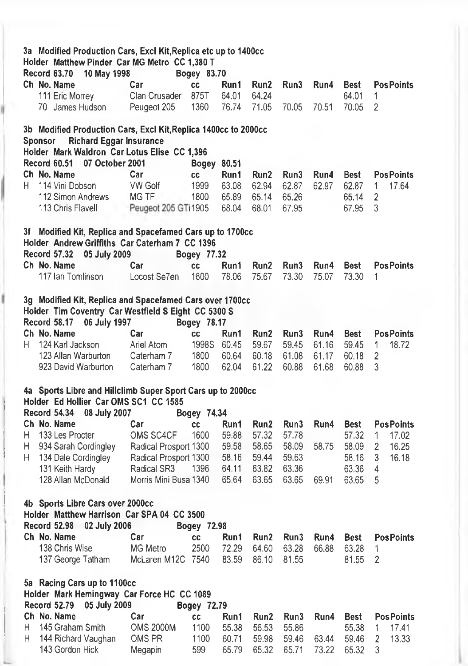|    | 3a Modified Production Cars, Excl Kit, Replica etc up to 1400cc<br>Holder Matthew Pinder Car MG Metro CC 1,380 T |                       |             |       |                  |       |       |             |                   |  |  |  |
|----|------------------------------------------------------------------------------------------------------------------|-----------------------|-------------|-------|------------------|-------|-------|-------------|-------------------|--|--|--|
|    | <b>Record 63.70</b><br>10 May 1998                                                                               |                       | Bogey 83.70 |       |                  |       |       |             |                   |  |  |  |
|    | Ch No. Name                                                                                                      | Car                   | cc          | Run1  | Run2             | Run3  | Run4  | <b>Best</b> | <b>PosPoints</b>  |  |  |  |
|    | 111 Eric Morrey                                                                                                  | Clan Crusader         | 875T        | 64.01 | 64.24            |       |       | 64.01       | 1                 |  |  |  |
|    | 70 James Hudson                                                                                                  | Peugeot 205           | 1360        | 76.74 | 71.05            | 70.05 | 70.51 | 70.05       | 2                 |  |  |  |
|    |                                                                                                                  |                       |             |       |                  |       |       |             |                   |  |  |  |
|    | 3b Modified Production Cars, Excl Kit, Replica 1400cc to 2000cc                                                  |                       |             |       |                  |       |       |             |                   |  |  |  |
|    | <b>Richard Eggar Insurance</b><br><b>Sponsor</b>                                                                 |                       |             |       |                  |       |       |             |                   |  |  |  |
|    | Holder Mark Waldron Car Lotus Elise CC 1,396                                                                     |                       |             |       |                  |       |       |             |                   |  |  |  |
|    | Record 60.51<br>07 October 2001                                                                                  |                       | Bogey 80.51 |       |                  |       |       |             |                   |  |  |  |
|    | Ch No. Name                                                                                                      | Car                   | CC          | Run1  | Run2             | Run3  | Run4  | <b>Best</b> | <b>PosPoints</b>  |  |  |  |
| Н. | 114 Vini Dobson                                                                                                  | <b>VW Golf</b>        | 1999        | 63.08 | 62.94            | 62.87 | 62.97 | 62.87       | 1<br>17.64        |  |  |  |
|    | 112 Simon Andrews                                                                                                | MG TF                 | 1800        | 65.89 | 65.14            | 65.26 |       | 65.14       | $\overline{2}$    |  |  |  |
|    | 113 Chris Flavell                                                                                                | Peugeot 205 GTi1905   |             | 68.04 | 68.01            | 67.95 |       | 67.95       | 3                 |  |  |  |
|    |                                                                                                                  |                       |             |       |                  |       |       |             |                   |  |  |  |
|    | 3f Modified Kit, Replica and Spacefamed Cars up to 1700cc                                                        |                       |             |       |                  |       |       |             |                   |  |  |  |
|    | Holder Andrew Griffiths Car Caterham 7 CC 1396                                                                   |                       |             |       |                  |       |       |             |                   |  |  |  |
|    | <b>Record 57.32</b><br>05 July 2009                                                                              |                       | Bogey 77.32 |       |                  |       |       |             |                   |  |  |  |
|    | Ch No. Name                                                                                                      | Car                   | cc          | Run1  | Run2             | Run3  | Run4  | <b>Best</b> | <b>Pos Points</b> |  |  |  |
|    | 117 Ian Tomlinson                                                                                                | Locost Se7en          | 1600        | 78.06 | 75.67            | 73.30 | 75.07 | 73.30       | 1                 |  |  |  |
|    |                                                                                                                  |                       |             |       |                  |       |       |             |                   |  |  |  |
|    | 3g Modified Kit, Replica and Spacefamed Cars over 1700cc                                                         |                       |             |       |                  |       |       |             |                   |  |  |  |
|    | Holder Tim Coventry Car Westfield S Eight CC 5300 S                                                              |                       |             |       |                  |       |       |             |                   |  |  |  |
|    | Record 58.17<br>06 July 1997                                                                                     |                       | Bogey 78.17 |       |                  |       |       |             |                   |  |  |  |
|    | Ch No. Name                                                                                                      | Car                   | cc          | Run1  | Run <sub>2</sub> | Run3  | Run4  | <b>Best</b> | <b>PosPoints</b>  |  |  |  |
| Н. | 124 Karl Jackson                                                                                                 | Ariel Atom            | 1998S       | 60.45 | 59.67            | 59.45 | 61.16 | 59.45       | 18.72<br>1        |  |  |  |
|    | 123 Allan Warburton                                                                                              | Caterham 7            | 1800        | 60.64 | 60.18            | 61.08 | 61.17 | 60.18       | 2                 |  |  |  |
|    | 923 David Warburton                                                                                              | Caterham 7            | 1800        | 62.04 | 61.22            | 60.88 | 61.68 | 60.88       | 3                 |  |  |  |
|    |                                                                                                                  |                       |             |       |                  |       |       |             |                   |  |  |  |
|    | 4a Sports Libre and Hillclimb Super Sport Cars up to 2000cc                                                      |                       |             |       |                  |       |       |             |                   |  |  |  |
|    | Holder Ed Hollier Car OMS SC1 CC 1585                                                                            |                       |             |       |                  |       |       |             |                   |  |  |  |
|    | 08 July 2007<br><b>Record 54.34</b>                                                                              |                       | Bogey 74.34 |       |                  |       |       |             |                   |  |  |  |
|    | Ch No. Name                                                                                                      | Car                   | <b>CC</b>   | Run1  | Run2             | Run3  | Run4  | <b>Best</b> | <b>PosPoints</b>  |  |  |  |
| Н. | 133 Les Procter                                                                                                  | OMS SC4CF             | 1600        | 59.88 | 57.32            | 57.78 |       | 57.32       | 1<br>17.02        |  |  |  |
| н  |                                                                                                                  |                       |             | 59.58 | 58.65            | 58.09 | 58.75 | 58.09       | 16.25<br>2        |  |  |  |
|    | 934 Sarah Cordingley                                                                                             | Radical Prosport 1300 |             | 58.16 | 59.44            | 59.63 |       | 58.16       | 16.18             |  |  |  |
| H. | 134 Dale Cordingley                                                                                              | Radical Prosport 1300 | 1396        |       |                  |       |       |             | 3                 |  |  |  |
|    | 131 Keith Hardy                                                                                                  | Radical SR3           |             | 64.11 | 63.82            | 63.36 |       | 63.36       | 4                 |  |  |  |
|    | 128 Allan McDonald                                                                                               | Morris Mini Busa 1340 |             | 65.64 | 63.65            | 63.65 | 69.91 | 63.65       | 5                 |  |  |  |
|    |                                                                                                                  |                       |             |       |                  |       |       |             |                   |  |  |  |
|    | 4b Sports Libre Cars over 2000cc                                                                                 |                       |             |       |                  |       |       |             |                   |  |  |  |
|    | Holder Matthew Harrison Car SPA 04 CC 3500                                                                       |                       |             |       |                  |       |       |             |                   |  |  |  |
|    | Record 52.98 02 July 2006                                                                                        |                       | Bogey 72.98 |       |                  |       |       |             |                   |  |  |  |
|    | Ch No. Name                                                                                                      | Car                   | СC          | Run1  | Run2             | Run3  | Run4  | <b>Best</b> | <b>PosPoints</b>  |  |  |  |
|    | 138 Chris Wise                                                                                                   | <b>MG Metro</b>       | 2500        | 72.29 | 64.60            | 63.28 | 66.88 | 63.28       | 1                 |  |  |  |
|    | 137 George Tatham                                                                                                | McLaren M12C 7540     |             | 83.59 | 86.10            | 81.55 |       | 81.55       | 2                 |  |  |  |
|    |                                                                                                                  |                       |             |       |                  |       |       |             |                   |  |  |  |
|    | 5a Racing Cars up to 1100cc                                                                                      |                       |             |       |                  |       |       |             |                   |  |  |  |
|    | Holder Mark Hemingway Car Force HC CC 1089                                                                       |                       |             |       |                  |       |       |             |                   |  |  |  |
|    | <b>Record 52.79</b><br>05 July 2009                                                                              |                       | Bogey 72.79 |       |                  |       |       |             |                   |  |  |  |
|    | Ch No. Name                                                                                                      | Car                   | cc          | Run1  | Run2             | Run3  | Run4  | <b>Best</b> | <b>PosPoints</b>  |  |  |  |
| H  | 145 Graham Smith                                                                                                 | <b>OMS 2000M</b>      | 1100        | 55.38 | 56.53            | 55.86 |       | 55.38       | 17.41<br>1        |  |  |  |
| н. | 144 Richard Vaughan                                                                                              | OMS PR                | 1100        | 60.71 | 59.98            | 59.46 | 63.44 | 59.46       | 2<br>13.33        |  |  |  |
|    | 143 Gordon Hick                                                                                                  | Megapin               | 599         | 65.79 | 65.32            | 65.71 | 73.22 | 65.32       | 3                 |  |  |  |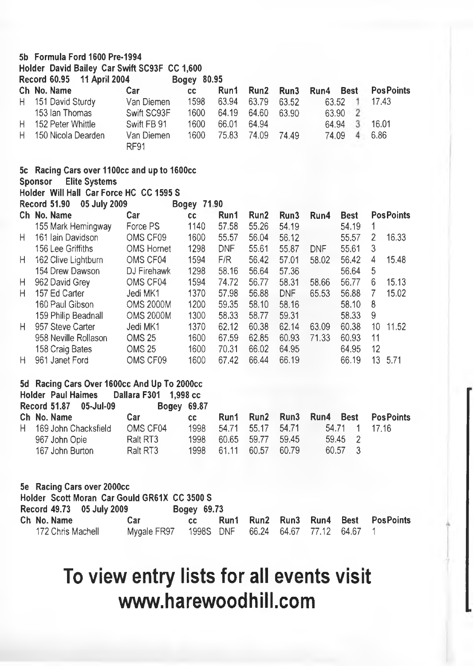#### **5b Formula Ford 1600 Pre-1994**

**Holder David Bailey Car Swift SC93F CC 1,600 Record 60.95 11 April 2004 Bogey 80.95**

|    | кесога оч.ээ<br>TT APHI 2004                                                                                              |                    | podey on ap |            |       |            |            |                         |       |                  |
|----|---------------------------------------------------------------------------------------------------------------------------|--------------------|-------------|------------|-------|------------|------------|-------------------------|-------|------------------|
|    | Ch No. Name                                                                                                               | Car                | <b>CC</b>   | Run1       | Run2  | Run3       | Run4       | <b>Best</b>             |       | <b>PosPoints</b> |
| Н. | 151 David Sturdy                                                                                                          | Van Diemen         | 1598        | 63.94      | 63.79 | 63.52      |            | 63.52<br>$\cdot$ 1      | 17.43 |                  |
|    | 153 Ian Thomas                                                                                                            | Swift SC93F        | 1600        | 64.19      | 64.60 | 63.90      |            | $\overline{2}$<br>63.90 |       |                  |
| H  | 152 Peter Whittle                                                                                                         | Swift FB 91        | 1600        | 66.01      | 64.94 |            |            | 3<br>64.94              | 16.01 |                  |
| H  | 150 Nicola Dearden                                                                                                        | Van Diemen<br>RF91 | 1600        | 75,83      | 74.09 | 74.49      |            | 74.09<br>$\overline{4}$ | 6.86  |                  |
|    | 5c Racing Cars over 1100cc and up to 1600cc<br><b>Elite Systems</b><br>Sponsor<br>Holder Will Hall Car Force HC CC 1595 S |                    |             |            |       |            |            |                         |       |                  |
|    | Record 51.90<br>05 July 2009                                                                                              |                    | Bogey 71.90 |            |       |            |            |                         |       |                  |
|    | Ch No. Name                                                                                                               | Car                | <b>CC</b>   | Run1       | Run2  | Run3       | Run4       | <b>Best</b>             |       | <b>PosPoints</b> |
|    | 155 Mark Hemingway                                                                                                        | Force PS           | 1140        | 57.58      | 55.26 | 54.19      |            | 54.19                   | 1     |                  |
| H  | 161 Iain Davidson                                                                                                         | OMS CF09           | 1600        | 55.57      | 56.04 | 56.12      |            | 55.57                   | 2     | 16.33            |
|    | 156 Lee Griffiths                                                                                                         | <b>OMS Hornet</b>  | 1298        | <b>DNF</b> | 55.61 | 55.87      | <b>DNF</b> | 55.61                   | 3     |                  |
| н  | 162 Clive Lightburn                                                                                                       | OMS CF04           | 1594        | F/R        | 56.42 | 57.01      | 58.02      | 56.42                   | 4     | 15.48            |
|    | 154 Drew Dawson                                                                                                           | DJ Firehawk        | 1298        | 58.16      | 56.64 | 57.36      |            | 56.64                   | 5     |                  |
| н  | 962 David Grey                                                                                                            | OMS CF04           | 1594        | 74.72      | 56.77 | 58.31      | 58.66      | 56.77                   | 6     | 15.13            |
| н  | 157 Ed Carter                                                                                                             | Jedi MK1           | 1370        | 57.98      | 56.88 | <b>DNF</b> | 65.53      | 56.88                   | 7     | 15.02            |
|    | 160 Paul Gibson                                                                                                           | <b>OMS 2000M</b>   | 1200        | 59.35      | 58.10 | 58.16      |            | 58.10                   | 8     |                  |
|    | 159 Philip Beadnall                                                                                                       | <b>OMS 2000M</b>   | 1300        | 58.33      | 58.77 | 59.31      |            | 58.33                   | 9     |                  |
| H  | 957 Steve Carter                                                                                                          | Jedi MK1           | 1370        | 62.12      | 60.38 | 62.14      | 63.09      | 60.38                   | 10    | 11.52            |
|    | 958 Neville Rollason                                                                                                      | <b>OMS 25</b>      | 1600        | 67.59      | 62.85 | 60.93      | 71.33      | 60.93                   | 11    |                  |
|    | 158 Craig Bates                                                                                                           | <b>OMS 25</b>      | 1600        | 70.31      | 66.02 | 64.95      |            | 64.95                   | 12    |                  |
| H. | 961 Janet Ford                                                                                                            | OMS CF09           | 1600        | 67.42      | 66.44 | 66.19      |            | 66.19                   |       | 13 5.71          |
|    |                                                                                                                           |                    |             |            |       |            |            |                         |       |                  |

### **5d Racing Cars Over 1600cc And Up To 2000cc**

|                 | Car                                                                              | CC.  |                                                                |       |                                                      |                                                     |
|-----------------|----------------------------------------------------------------------------------|------|----------------------------------------------------------------|-------|------------------------------------------------------|-----------------------------------------------------|
|                 | OMS CF04                                                                         | 1998 |                                                                |       |                                                      |                                                     |
|                 | Ralt RT3                                                                         | 1998 |                                                                | 59.45 | 59.45 2                                              |                                                     |
| 167 John Burton | Ralt RT3                                                                         |      |                                                                | 60.79 | 60.57 3                                              |                                                     |
|                 | Record 51.87 05-Jul-09<br>Ch No. Name<br>H 169 John Chacksfield<br>967 John Opie |      | Holder Paul Haimes Dallara F301 1.998 cc<br><b>Bogey 69.87</b> |       | 54.71 55.17 54.71<br>60.65 59.77<br>1998 61.11 60.57 | Run1 Run2 Run3 Run4 Best PosPoints<br>54.71 1 17.16 |

| 5e Racing Cars over 2000cc                   |             |                                     |      |  |  |  |  |                               |
|----------------------------------------------|-------------|-------------------------------------|------|--|--|--|--|-------------------------------|
| Holder Scott Moran Car Gould GR61X CC 3500 S |             |                                     |      |  |  |  |  |                               |
| Record 49.73 05 July 2009<br>Bogey 69.73     |             |                                     |      |  |  |  |  |                               |
| Ch No. Name                                  | Car         | cc.                                 | Run1 |  |  |  |  | Run2 Run3 Run4 Best PosPoints |
| 172 Chris Machell                            | Mvgale FR97 | 1998S DNF 66.24 64.67 77.12 64.67 1 |      |  |  |  |  |                               |

# **To view entry lists for all events visit vmw.harewoodhill.com**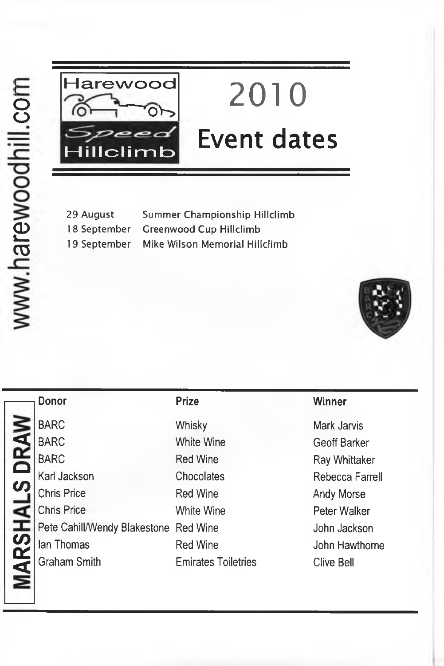

# **2010 Event dates**

29 August Summer Championship Hillclimb 18 September Greenwood Cup Hillclimb 19 September Mike Wilson Memorial Hillclimb



|               | <b>Donor</b>                          | <b>Prize</b>               | Winner            |
|---------------|---------------------------------------|----------------------------|-------------------|
|               | <b>BARC</b>                           | Whisky                     | Mark Jarvis       |
| S DRAW        | <b>BARC</b>                           | White Wine                 | Geoff Barker      |
|               | <b>BARC</b>                           | <b>Red Wine</b>            | Ray Whittaker     |
|               | Karl Jackson                          | Chocolates                 | Rebecca Farrell   |
|               | <b>Chris Price</b>                    | <b>Red Wine</b>            | Andy Morse        |
|               | <b>Chris Price</b>                    | White Wine                 | Peter Walker      |
| <b>IARSHA</b> | Pete Cahill/Wendy Blakestone Red Wine |                            | John Jackson      |
|               | lan Thomas                            | <b>Red Wine</b>            | John Hawthorne    |
|               | <b>Graham Smith</b>                   | <b>Emirates Toiletries</b> | <b>Clive Bell</b> |
|               |                                       |                            |                   |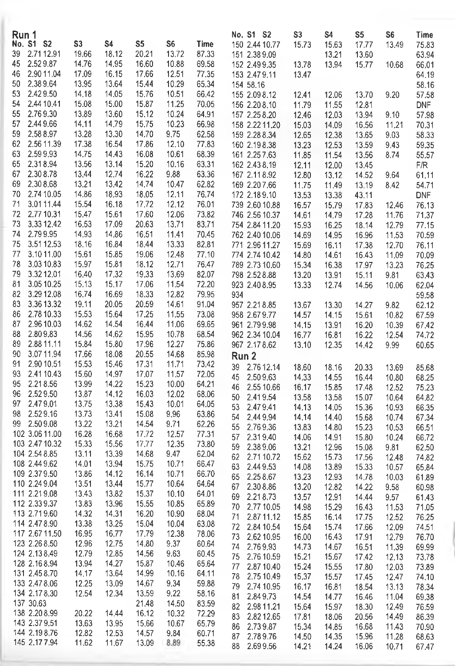| No. S1 S2<br>S3<br>S <sub>5</sub><br>S4<br>S6<br>Time<br>150 2.44 10.77<br>15.73<br>15.63<br>17.77<br>13.49<br>75.83<br>39<br>2.7112.91<br>19.66<br>18,12<br>20.21<br>13.72<br>87.33<br>151 2.38 9.09<br>13.21<br>13,60<br>63.94<br>2.529.87<br>14.95<br>45<br>14.76<br>16.60<br>10.88<br>69.58<br>152 2.49 9.35<br>13.78<br>13.94<br>15.77<br>66.01<br>10.68<br>2.90 11.04<br>17.09<br>16.15<br>17.66<br>12,51<br>77.35<br>46<br>153 2.47 9.11<br>64.19<br>13.47<br>2.389.64<br>13.95<br>13.64<br>15.44<br>10.29<br>50<br>65.34<br>58.16<br>154 58.16<br>2.429.50<br>53<br>14.18<br>14.05<br>15.76<br>10.51<br>66.42<br>155 2.09 8.12<br>12.41<br>12.06<br>13.70<br>9.20<br>57.58<br>2.44 10.41<br>54<br>15.08<br>15.00<br>15.87<br>11.25<br>70.05<br><b>DNF</b><br>156 2.20 8.10<br>11.79<br>11.55<br>12.81<br>2.769.30<br>55<br>13,89<br>13.60<br>15.12<br>10.24<br>64.91<br>157 2.25 8.20<br>13.94<br>9.10<br>57.98<br>12.46<br>12.03<br>57<br>2.449.66<br>14.11<br>14.79<br>15.75<br>10.23<br>66.98<br>158 2.22 11.20<br>70.31<br>15.03<br>14.09<br>16.56<br>11,21<br>59<br>2.588.97<br>13.28<br>13.30<br>14.70<br>9,75<br>62.58<br>159 2.28 8.34<br>12.65<br>12.38<br>13.65<br>9.03<br>58.33<br>62<br>2.56 11.39<br>17.38<br>16.54<br>17.86<br>12.10<br>77.83<br>160 2.198.38<br>13.23<br>12.53<br>13.59<br>9.43<br>59.35<br>63<br>2,599.93<br>14,75<br>14.43<br>16.08<br>10.61<br>68.39<br>161 2.25 7.63<br>11.85<br>11.54<br>13.56<br>8.74<br>55.57<br>65<br>2.318.94<br>13.56<br>13.14<br>15.20<br>63.31<br>10.16<br>162 2.43 8.19<br>12.11<br>12.00<br>13.45<br>F/R<br>2.308.78<br>67<br>13.44<br>12.74<br>16.22<br>9.88<br>63.36<br>167 2.11 8.92<br>12.80<br>61.11<br>13.12<br>14.52<br>9.64<br>69<br>2.308.68<br>13.21<br>13.42<br>14.74<br>10.47<br>62.82<br>169 2.20 7.66<br>11.75<br>11.49<br>13.19<br>8.42<br>54.71<br>70<br>2.74 10.05<br>14.86<br>18.93<br>18.05<br>12.11<br>76.74<br>172 2.18 9.10<br>13.53<br><b>DNF</b><br>13.38<br>43.11<br>3.0111.44<br>15.54<br>17,72<br>12.12<br>71<br>16.18<br>76.01<br>739 2.60 10.88<br>76.13<br>16.57<br>15.79<br>17.83<br>12.46<br>72<br>2,77 10,31<br>15.47<br>15.61<br>17.60<br>12.06<br>73.82<br>746 2.56 10.37<br>14.61<br>14.79<br>17,28<br>11.76<br>71.37<br>73<br>3.33 12.42<br>16.53<br>17.09<br>20.63<br>13.71<br>83.71<br>754 2.84 11.20<br>15.93<br>16.25<br>18.14<br>12.79<br>77.15<br>2.799.95<br>74<br>14.93<br>14.86<br>16.51<br>11.41<br>70.45<br>762 2.40 10.06<br>14.69<br>14.95<br>16.96<br>11.53<br>70.59<br>75<br>3.5112.53<br>18.16<br>16.84<br>13.33<br>82.81<br>18.44<br>771 2.96 11.27<br>15.69<br>16.11<br>17.38<br>12,70<br>76.11<br>77<br>3.1011.00<br>15.61<br>15.85<br>19.06<br>12.48<br>77.10<br>774 2.74 10.42<br>14.80<br>14.61<br>16.43<br>11.09<br>70.09<br>78<br>3.0310.83<br>15.97<br>15.81<br>12,71<br>18.12<br>76.47<br>789 2.73 10,60<br>15,34<br>17.97<br>16.38<br>13.23<br>76.25<br>79<br>3.3212.01<br>16.40<br>17.32<br>19.33<br>13.69<br>82.07<br>798 2.52 8.88<br>13,20<br>13.91<br>15.11<br>9.81<br>63.43<br>81<br>3.05 10.25<br>15,13<br>15.17<br>17.06<br>11.54<br>72.20<br>923 2.40 8.95<br>13.33<br>12.74<br>14.56<br>62.04<br>10.06<br>3.29 12.08<br>82<br>16.74<br>16.69<br>18.33<br>12.82<br>79.95<br>934<br>59.58<br>83<br>3.36 13.32<br>19.11<br>20.05<br>20.59<br>14.61<br>91,04<br>957 2.21 8.85<br>9.82<br>62.12<br>13.67<br>13.30<br>14.27<br>86<br>2.78 10.33<br>15.53<br>15.64<br>17.25<br>11.55<br>73.08<br>958 2.67 9.77<br>14.57<br>14.15<br>15.61<br>10.82<br>67.59<br>14.54<br>87<br>2.96 10.03<br>14.62<br>16.44<br>11.06<br>69.65<br>961 2.79 9.98<br>13.91<br>16.20<br>67.42<br>14.15<br>10.39<br>88<br>2.809.83<br>14.56<br>14.62<br>15.95<br>10.78<br>68.54<br>962 2.34 10.04<br>16.22<br>16,77<br>16.81<br>12.54<br>74.72<br>2.88 11.11<br>89<br>15.84<br>15.80<br>17.96<br>12.27<br>75.86<br>967 2.178.62<br>13.10<br>12.35<br>14,42<br>9.99<br>60.65<br>90<br>3.0711.94<br>17.66<br>18.08<br>20.55<br>14.68<br>85.98<br>Run 2<br>91<br>2.90 10.51<br>15.53<br>15.46<br>17.31<br>11.71<br>73.42<br>39<br>2.76 12.14<br>18.60<br>18.16<br>20.33<br>85.68<br>13,69<br>93<br>2.41 10.43<br>15.60<br>14,97<br>17.07<br>11.57<br>72.05<br>45<br>2.509.63<br>14.33<br>14,55<br>68.25<br>16,44<br>10.80<br>2.218.56<br>13.99<br>14.22<br>15,23<br>95<br>10.00<br>64.21<br>2.55 10.66<br>46<br>16.17<br>15.85<br>17.48<br>12.52<br>75.23<br>2.529.50<br>96<br>13.87<br>14.12<br>16.03<br>12.02<br>68,06<br>2.419.54<br>50<br>13.58<br>13.58<br>15.07<br>64.82<br>10.64<br>97<br>2.479.01<br>13.75<br>13.38<br>15.43<br>10.01<br>64.05<br>53<br>2.479.41<br>14.13<br>14.05<br>15.36<br>10,93<br>66.35<br>2.529.16<br>98<br>13.73<br>13.41<br>15.08<br>9.96<br>63.86<br>54<br>2.449.94<br>14.14<br>14.40<br>15.68<br>67.34<br>10,74<br>13.22<br>2.509.08<br>13.21<br>14.54<br>9,71<br>62.26<br>99<br>55<br>2.769.36<br>13.83<br>14.80<br>15.23<br>66.51<br>10.53<br>102 3.06 11.00<br>16.28<br>16.68<br>17.72<br>77.31<br>12.57<br>2.319.40<br>57<br>14.06<br>14.91<br>15.80<br>10.24<br>66.72<br>103 2.47 10.32<br>15.33<br>15.56<br>17,77<br>12.35<br>73.80<br>59<br>2.389.06<br>13.21<br>12.96<br>15.08<br>9.81<br>62,50<br>104 2,54 8,85<br>13,11<br>13.39<br>14.68<br>9.47<br>62.04<br>2.7110.72<br>15.73<br>62<br>15.62<br>17.56<br>74.82<br>12.48<br>108 2.44 9.62<br>14.01<br>13.94<br>15.75<br>10.71<br>66.47<br>2.449.53<br>63<br>14.08<br>13.89<br>15.33<br>10.57<br>65.84<br>109 2.37 9.50<br>13.86<br>14.12<br>16.14<br>10.71<br>66.70<br>65<br>2.258.67<br>13.23<br>12,93<br>14.78<br>10.03<br>61.89<br>110 2.24 9.04<br>13.51<br>13.44<br>15.77<br>10.64<br>64.64<br>67<br>2.308.86<br>13.20<br>12.82<br>14.22<br>9.58<br>60.98<br>111 2.21 9,08<br>13.43<br>13.82<br>15,37<br>10.10<br>64.01<br>69<br>2.218.73<br>13.57<br>12.91<br>14.44<br>9.57<br>61,43<br>112 2.33 9.37<br>15.55<br>13.83<br>13.96<br>10.85<br>65.89<br>70<br>2,77 10.05<br>14.98<br>15.29<br>16.43<br>11.53<br>71.05<br>113 2.71 9.60<br>14.32<br>14.31<br>16.20<br>10.90<br>68.04<br>$\sqrt{1}$<br>2.87 11.12<br>15,85<br>16.14<br>17.75<br>12.52<br>76.25<br>114 2.47 8.90<br>13.38<br>13.25<br>15.04<br>63.08<br>10.04<br>72<br>2.84 10.54<br>15.74<br>15.64<br>17.66<br>12.09<br>74,51<br>117 2.67 11.50<br>16.95<br>16.77<br>17.79<br>12.38<br>78.06<br>73<br>2.62 10.95<br>16.00<br>16.43<br>17.91<br>12.79<br>76.70<br>12.96<br>14.80<br>123 2.26 8.50<br>12.75<br>9.37<br>60.64<br>74 2.769.93<br>14,73<br>14.67<br>16.51<br>11.39<br>69.99<br>124 2.13 8.49<br>12.79<br>12.85<br>14.56<br>9.63<br>60.45<br>75<br>2.76 10.59<br>15.21<br>15.67<br>17.42<br>12.13<br>73.78<br>128 2.16 8.94<br>13,94<br>14.27<br>15.87<br>10,46<br>65.64<br>77<br>2.87 10.40<br>15.24<br>15.55<br>17.80<br>12.03<br>73.89<br>131 2.45 8.70<br>14.17<br>13.64<br>14.99<br>10.16<br>64.11<br>78<br>2.75 10.49<br>15,37<br>15.57<br>17.45<br>12.47<br>74.10<br>12.25<br>14.67<br>133 2.47 8.06<br>13.09<br>9.34<br>59.88<br>2.74 10.95<br>16.17<br>79<br>16.81<br>18.54<br>13.13<br>78.34<br>134 2.17 8.30<br>12.54<br>12.34<br>13.59<br>9.22<br>58.16<br>2.849.73<br>81<br>14.54<br>14.77<br>16.46<br>11.04<br>69.38<br>137 30.63<br>21.48<br>14,50<br>83.59<br>82<br>2.98 11.21<br>18.30<br>15.64<br>15.97<br>12.49<br>76.59<br>138 2.20 8.99<br>14.44<br>16.12<br>20.22<br>10.32<br>72.29<br>83<br>2.8212.65<br>17.81<br>20.56<br>14.49<br>18.06<br>86.39<br>143 2.37 9.51<br>13.63<br>13.95<br>15.66<br>10.67<br>65.79<br>2.739.87<br>15.34<br>16.68<br>86<br>14.85<br>11.43<br>70.90<br>144 2.198.76<br>12.82<br>12.53<br>14.57<br>9.84<br>60.71<br>87 2.789.76<br>15.96<br>14.50<br>14.35<br>11.28<br>68.63<br>145 2.17 7.94<br>11.62<br>13.09<br>8.89<br>11.67<br>55.38<br>88 2.699.56<br>16.06<br>14.21<br>14.24<br>10.71<br>67.47 | Run 1 |  |  |  | No. S1 S2 | S3 | S4 | S5 | S <sub>6</sub> | Time |
|---------------------------------------------------------------------------------------------------------------------------------------------------------------------------------------------------------------------------------------------------------------------------------------------------------------------------------------------------------------------------------------------------------------------------------------------------------------------------------------------------------------------------------------------------------------------------------------------------------------------------------------------------------------------------------------------------------------------------------------------------------------------------------------------------------------------------------------------------------------------------------------------------------------------------------------------------------------------------------------------------------------------------------------------------------------------------------------------------------------------------------------------------------------------------------------------------------------------------------------------------------------------------------------------------------------------------------------------------------------------------------------------------------------------------------------------------------------------------------------------------------------------------------------------------------------------------------------------------------------------------------------------------------------------------------------------------------------------------------------------------------------------------------------------------------------------------------------------------------------------------------------------------------------------------------------------------------------------------------------------------------------------------------------------------------------------------------------------------------------------------------------------------------------------------------------------------------------------------------------------------------------------------------------------------------------------------------------------------------------------------------------------------------------------------------------------------------------------------------------------------------------------------------------------------------------------------------------------------------------------------------------------------------------------------------------------------------------------------------------------------------------------------------------------------------------------------------------------------------------------------------------------------------------------------------------------------------------------------------------------------------------------------------------------------------------------------------------------------------------------------------------------------------------------------------------------------------------------------------------------------------------------------------------------------------------------------------------------------------------------------------------------------------------------------------------------------------------------------------------------------------------------------------------------------------------------------------------------------------------------------------------------------------------------------------------------------------------------------------------------------------------------------------------------------------------------------------------------------------------------------------------------------------------------------------------------------------------------------------------------------------------------------------------------------------------------------------------------------------------------------------------------------------------------------------------------------------------------------------------------------------------------------------------------------------------------------------------------------------------------------------------------------------------------------------------------------------------------------------------------------------------------------------------------------------------------------------------------------------------------------------------------------------------------------------------------------------------------------------------------------------------------------------------------------------------------------------------------------------------------------------------------------------------------------------------------------------------------------------------------------------------------------------------------------------------------------------------------------------------------------------------------------------------------------------------------------------------------------------------------------------------------------------------------------------------------------------------------------------------------------------------------------------------------------------------------------------------------------------------------------------------------------------------------------------------------------------------------------------------------------------------------------------------------------------------------------------------------------------------------------------------------------------------------------------------------------------------------------------------------------------------------------------------------------------------------------------------------------------------------------------------------------------------------------------------------------------------------------------------------------------------------------------------------------------------------------------------------------------------------------------------------------------------------------------------------------------------------------------------------------------------------------------------------------------------------------------------------------------------------------------------------------------------------------------------------------------------------------------------------------------------------------------------------------------------------------------------------------------------------------------------------------------------------------------------------------------------------------------------------------------------------------------------------------------------------------------------------------------------------------------------------------------------------------------------------------------------------------------------------------------------------------------------------------------------------------------------------------------------------------------------------------------------------------------------------------------------------------------------------------------------------------------------------------------------------------------------------------------------------------------------------------------------------------------------------------------------------------------------------------------------------------------------------------------------------------------------------------------------------------|-------|--|--|--|-----------|----|----|----|----------------|------|
|                                                                                                                                                                                                                                                                                                                                                                                                                                                                                                                                                                                                                                                                                                                                                                                                                                                                                                                                                                                                                                                                                                                                                                                                                                                                                                                                                                                                                                                                                                                                                                                                                                                                                                                                                                                                                                                                                                                                                                                                                                                                                                                                                                                                                                                                                                                                                                                                                                                                                                                                                                                                                                                                                                                                                                                                                                                                                                                                                                                                                                                                                                                                                                                                                                                                                                                                                                                                                                                                                                                                                                                                                                                                                                                                                                                                                                                                                                                                                                                                                                                                                                                                                                                                                                                                                                                                                                                                                                                                                                                                                                                                                                                                                                                                                                                                                                                                                                                                                                                                                                                                                                                                                                                                                                                                                                                                                                                                                                                                                                                                                                                                                                                                                                                                                                                                                                                                                                                                                                                                                                                                                                                                                                                                                                                                                                                                                                                                                                                                                                                                                                                                                                                                                                                                                                                                                                                                                                                                                                                                                                                                                                                                                                                                                                                                                                                                                                                                                                                                                                                                                                                                                                                                                                                                                   |       |  |  |  |           |    |    |    |                |      |
|                                                                                                                                                                                                                                                                                                                                                                                                                                                                                                                                                                                                                                                                                                                                                                                                                                                                                                                                                                                                                                                                                                                                                                                                                                                                                                                                                                                                                                                                                                                                                                                                                                                                                                                                                                                                                                                                                                                                                                                                                                                                                                                                                                                                                                                                                                                                                                                                                                                                                                                                                                                                                                                                                                                                                                                                                                                                                                                                                                                                                                                                                                                                                                                                                                                                                                                                                                                                                                                                                                                                                                                                                                                                                                                                                                                                                                                                                                                                                                                                                                                                                                                                                                                                                                                                                                                                                                                                                                                                                                                                                                                                                                                                                                                                                                                                                                                                                                                                                                                                                                                                                                                                                                                                                                                                                                                                                                                                                                                                                                                                                                                                                                                                                                                                                                                                                                                                                                                                                                                                                                                                                                                                                                                                                                                                                                                                                                                                                                                                                                                                                                                                                                                                                                                                                                                                                                                                                                                                                                                                                                                                                                                                                                                                                                                                                                                                                                                                                                                                                                                                                                                                                                                                                                                                                   |       |  |  |  |           |    |    |    |                |      |
|                                                                                                                                                                                                                                                                                                                                                                                                                                                                                                                                                                                                                                                                                                                                                                                                                                                                                                                                                                                                                                                                                                                                                                                                                                                                                                                                                                                                                                                                                                                                                                                                                                                                                                                                                                                                                                                                                                                                                                                                                                                                                                                                                                                                                                                                                                                                                                                                                                                                                                                                                                                                                                                                                                                                                                                                                                                                                                                                                                                                                                                                                                                                                                                                                                                                                                                                                                                                                                                                                                                                                                                                                                                                                                                                                                                                                                                                                                                                                                                                                                                                                                                                                                                                                                                                                                                                                                                                                                                                                                                                                                                                                                                                                                                                                                                                                                                                                                                                                                                                                                                                                                                                                                                                                                                                                                                                                                                                                                                                                                                                                                                                                                                                                                                                                                                                                                                                                                                                                                                                                                                                                                                                                                                                                                                                                                                                                                                                                                                                                                                                                                                                                                                                                                                                                                                                                                                                                                                                                                                                                                                                                                                                                                                                                                                                                                                                                                                                                                                                                                                                                                                                                                                                                                                                                   |       |  |  |  |           |    |    |    |                |      |
|                                                                                                                                                                                                                                                                                                                                                                                                                                                                                                                                                                                                                                                                                                                                                                                                                                                                                                                                                                                                                                                                                                                                                                                                                                                                                                                                                                                                                                                                                                                                                                                                                                                                                                                                                                                                                                                                                                                                                                                                                                                                                                                                                                                                                                                                                                                                                                                                                                                                                                                                                                                                                                                                                                                                                                                                                                                                                                                                                                                                                                                                                                                                                                                                                                                                                                                                                                                                                                                                                                                                                                                                                                                                                                                                                                                                                                                                                                                                                                                                                                                                                                                                                                                                                                                                                                                                                                                                                                                                                                                                                                                                                                                                                                                                                                                                                                                                                                                                                                                                                                                                                                                                                                                                                                                                                                                                                                                                                                                                                                                                                                                                                                                                                                                                                                                                                                                                                                                                                                                                                                                                                                                                                                                                                                                                                                                                                                                                                                                                                                                                                                                                                                                                                                                                                                                                                                                                                                                                                                                                                                                                                                                                                                                                                                                                                                                                                                                                                                                                                                                                                                                                                                                                                                                                                   |       |  |  |  |           |    |    |    |                |      |
|                                                                                                                                                                                                                                                                                                                                                                                                                                                                                                                                                                                                                                                                                                                                                                                                                                                                                                                                                                                                                                                                                                                                                                                                                                                                                                                                                                                                                                                                                                                                                                                                                                                                                                                                                                                                                                                                                                                                                                                                                                                                                                                                                                                                                                                                                                                                                                                                                                                                                                                                                                                                                                                                                                                                                                                                                                                                                                                                                                                                                                                                                                                                                                                                                                                                                                                                                                                                                                                                                                                                                                                                                                                                                                                                                                                                                                                                                                                                                                                                                                                                                                                                                                                                                                                                                                                                                                                                                                                                                                                                                                                                                                                                                                                                                                                                                                                                                                                                                                                                                                                                                                                                                                                                                                                                                                                                                                                                                                                                                                                                                                                                                                                                                                                                                                                                                                                                                                                                                                                                                                                                                                                                                                                                                                                                                                                                                                                                                                                                                                                                                                                                                                                                                                                                                                                                                                                                                                                                                                                                                                                                                                                                                                                                                                                                                                                                                                                                                                                                                                                                                                                                                                                                                                                                                   |       |  |  |  |           |    |    |    |                |      |
|                                                                                                                                                                                                                                                                                                                                                                                                                                                                                                                                                                                                                                                                                                                                                                                                                                                                                                                                                                                                                                                                                                                                                                                                                                                                                                                                                                                                                                                                                                                                                                                                                                                                                                                                                                                                                                                                                                                                                                                                                                                                                                                                                                                                                                                                                                                                                                                                                                                                                                                                                                                                                                                                                                                                                                                                                                                                                                                                                                                                                                                                                                                                                                                                                                                                                                                                                                                                                                                                                                                                                                                                                                                                                                                                                                                                                                                                                                                                                                                                                                                                                                                                                                                                                                                                                                                                                                                                                                                                                                                                                                                                                                                                                                                                                                                                                                                                                                                                                                                                                                                                                                                                                                                                                                                                                                                                                                                                                                                                                                                                                                                                                                                                                                                                                                                                                                                                                                                                                                                                                                                                                                                                                                                                                                                                                                                                                                                                                                                                                                                                                                                                                                                                                                                                                                                                                                                                                                                                                                                                                                                                                                                                                                                                                                                                                                                                                                                                                                                                                                                                                                                                                                                                                                                                                   |       |  |  |  |           |    |    |    |                |      |
|                                                                                                                                                                                                                                                                                                                                                                                                                                                                                                                                                                                                                                                                                                                                                                                                                                                                                                                                                                                                                                                                                                                                                                                                                                                                                                                                                                                                                                                                                                                                                                                                                                                                                                                                                                                                                                                                                                                                                                                                                                                                                                                                                                                                                                                                                                                                                                                                                                                                                                                                                                                                                                                                                                                                                                                                                                                                                                                                                                                                                                                                                                                                                                                                                                                                                                                                                                                                                                                                                                                                                                                                                                                                                                                                                                                                                                                                                                                                                                                                                                                                                                                                                                                                                                                                                                                                                                                                                                                                                                                                                                                                                                                                                                                                                                                                                                                                                                                                                                                                                                                                                                                                                                                                                                                                                                                                                                                                                                                                                                                                                                                                                                                                                                                                                                                                                                                                                                                                                                                                                                                                                                                                                                                                                                                                                                                                                                                                                                                                                                                                                                                                                                                                                                                                                                                                                                                                                                                                                                                                                                                                                                                                                                                                                                                                                                                                                                                                                                                                                                                                                                                                                                                                                                                                                   |       |  |  |  |           |    |    |    |                |      |
|                                                                                                                                                                                                                                                                                                                                                                                                                                                                                                                                                                                                                                                                                                                                                                                                                                                                                                                                                                                                                                                                                                                                                                                                                                                                                                                                                                                                                                                                                                                                                                                                                                                                                                                                                                                                                                                                                                                                                                                                                                                                                                                                                                                                                                                                                                                                                                                                                                                                                                                                                                                                                                                                                                                                                                                                                                                                                                                                                                                                                                                                                                                                                                                                                                                                                                                                                                                                                                                                                                                                                                                                                                                                                                                                                                                                                                                                                                                                                                                                                                                                                                                                                                                                                                                                                                                                                                                                                                                                                                                                                                                                                                                                                                                                                                                                                                                                                                                                                                                                                                                                                                                                                                                                                                                                                                                                                                                                                                                                                                                                                                                                                                                                                                                                                                                                                                                                                                                                                                                                                                                                                                                                                                                                                                                                                                                                                                                                                                                                                                                                                                                                                                                                                                                                                                                                                                                                                                                                                                                                                                                                                                                                                                                                                                                                                                                                                                                                                                                                                                                                                                                                                                                                                                                                                   |       |  |  |  |           |    |    |    |                |      |
|                                                                                                                                                                                                                                                                                                                                                                                                                                                                                                                                                                                                                                                                                                                                                                                                                                                                                                                                                                                                                                                                                                                                                                                                                                                                                                                                                                                                                                                                                                                                                                                                                                                                                                                                                                                                                                                                                                                                                                                                                                                                                                                                                                                                                                                                                                                                                                                                                                                                                                                                                                                                                                                                                                                                                                                                                                                                                                                                                                                                                                                                                                                                                                                                                                                                                                                                                                                                                                                                                                                                                                                                                                                                                                                                                                                                                                                                                                                                                                                                                                                                                                                                                                                                                                                                                                                                                                                                                                                                                                                                                                                                                                                                                                                                                                                                                                                                                                                                                                                                                                                                                                                                                                                                                                                                                                                                                                                                                                                                                                                                                                                                                                                                                                                                                                                                                                                                                                                                                                                                                                                                                                                                                                                                                                                                                                                                                                                                                                                                                                                                                                                                                                                                                                                                                                                                                                                                                                                                                                                                                                                                                                                                                                                                                                                                                                                                                                                                                                                                                                                                                                                                                                                                                                                                                   |       |  |  |  |           |    |    |    |                |      |
|                                                                                                                                                                                                                                                                                                                                                                                                                                                                                                                                                                                                                                                                                                                                                                                                                                                                                                                                                                                                                                                                                                                                                                                                                                                                                                                                                                                                                                                                                                                                                                                                                                                                                                                                                                                                                                                                                                                                                                                                                                                                                                                                                                                                                                                                                                                                                                                                                                                                                                                                                                                                                                                                                                                                                                                                                                                                                                                                                                                                                                                                                                                                                                                                                                                                                                                                                                                                                                                                                                                                                                                                                                                                                                                                                                                                                                                                                                                                                                                                                                                                                                                                                                                                                                                                                                                                                                                                                                                                                                                                                                                                                                                                                                                                                                                                                                                                                                                                                                                                                                                                                                                                                                                                                                                                                                                                                                                                                                                                                                                                                                                                                                                                                                                                                                                                                                                                                                                                                                                                                                                                                                                                                                                                                                                                                                                                                                                                                                                                                                                                                                                                                                                                                                                                                                                                                                                                                                                                                                                                                                                                                                                                                                                                                                                                                                                                                                                                                                                                                                                                                                                                                                                                                                                                                   |       |  |  |  |           |    |    |    |                |      |
|                                                                                                                                                                                                                                                                                                                                                                                                                                                                                                                                                                                                                                                                                                                                                                                                                                                                                                                                                                                                                                                                                                                                                                                                                                                                                                                                                                                                                                                                                                                                                                                                                                                                                                                                                                                                                                                                                                                                                                                                                                                                                                                                                                                                                                                                                                                                                                                                                                                                                                                                                                                                                                                                                                                                                                                                                                                                                                                                                                                                                                                                                                                                                                                                                                                                                                                                                                                                                                                                                                                                                                                                                                                                                                                                                                                                                                                                                                                                                                                                                                                                                                                                                                                                                                                                                                                                                                                                                                                                                                                                                                                                                                                                                                                                                                                                                                                                                                                                                                                                                                                                                                                                                                                                                                                                                                                                                                                                                                                                                                                                                                                                                                                                                                                                                                                                                                                                                                                                                                                                                                                                                                                                                                                                                                                                                                                                                                                                                                                                                                                                                                                                                                                                                                                                                                                                                                                                                                                                                                                                                                                                                                                                                                                                                                                                                                                                                                                                                                                                                                                                                                                                                                                                                                                                                   |       |  |  |  |           |    |    |    |                |      |
|                                                                                                                                                                                                                                                                                                                                                                                                                                                                                                                                                                                                                                                                                                                                                                                                                                                                                                                                                                                                                                                                                                                                                                                                                                                                                                                                                                                                                                                                                                                                                                                                                                                                                                                                                                                                                                                                                                                                                                                                                                                                                                                                                                                                                                                                                                                                                                                                                                                                                                                                                                                                                                                                                                                                                                                                                                                                                                                                                                                                                                                                                                                                                                                                                                                                                                                                                                                                                                                                                                                                                                                                                                                                                                                                                                                                                                                                                                                                                                                                                                                                                                                                                                                                                                                                                                                                                                                                                                                                                                                                                                                                                                                                                                                                                                                                                                                                                                                                                                                                                                                                                                                                                                                                                                                                                                                                                                                                                                                                                                                                                                                                                                                                                                                                                                                                                                                                                                                                                                                                                                                                                                                                                                                                                                                                                                                                                                                                                                                                                                                                                                                                                                                                                                                                                                                                                                                                                                                                                                                                                                                                                                                                                                                                                                                                                                                                                                                                                                                                                                                                                                                                                                                                                                                                                   |       |  |  |  |           |    |    |    |                |      |
|                                                                                                                                                                                                                                                                                                                                                                                                                                                                                                                                                                                                                                                                                                                                                                                                                                                                                                                                                                                                                                                                                                                                                                                                                                                                                                                                                                                                                                                                                                                                                                                                                                                                                                                                                                                                                                                                                                                                                                                                                                                                                                                                                                                                                                                                                                                                                                                                                                                                                                                                                                                                                                                                                                                                                                                                                                                                                                                                                                                                                                                                                                                                                                                                                                                                                                                                                                                                                                                                                                                                                                                                                                                                                                                                                                                                                                                                                                                                                                                                                                                                                                                                                                                                                                                                                                                                                                                                                                                                                                                                                                                                                                                                                                                                                                                                                                                                                                                                                                                                                                                                                                                                                                                                                                                                                                                                                                                                                                                                                                                                                                                                                                                                                                                                                                                                                                                                                                                                                                                                                                                                                                                                                                                                                                                                                                                                                                                                                                                                                                                                                                                                                                                                                                                                                                                                                                                                                                                                                                                                                                                                                                                                                                                                                                                                                                                                                                                                                                                                                                                                                                                                                                                                                                                                                   |       |  |  |  |           |    |    |    |                |      |
|                                                                                                                                                                                                                                                                                                                                                                                                                                                                                                                                                                                                                                                                                                                                                                                                                                                                                                                                                                                                                                                                                                                                                                                                                                                                                                                                                                                                                                                                                                                                                                                                                                                                                                                                                                                                                                                                                                                                                                                                                                                                                                                                                                                                                                                                                                                                                                                                                                                                                                                                                                                                                                                                                                                                                                                                                                                                                                                                                                                                                                                                                                                                                                                                                                                                                                                                                                                                                                                                                                                                                                                                                                                                                                                                                                                                                                                                                                                                                                                                                                                                                                                                                                                                                                                                                                                                                                                                                                                                                                                                                                                                                                                                                                                                                                                                                                                                                                                                                                                                                                                                                                                                                                                                                                                                                                                                                                                                                                                                                                                                                                                                                                                                                                                                                                                                                                                                                                                                                                                                                                                                                                                                                                                                                                                                                                                                                                                                                                                                                                                                                                                                                                                                                                                                                                                                                                                                                                                                                                                                                                                                                                                                                                                                                                                                                                                                                                                                                                                                                                                                                                                                                                                                                                                                                   |       |  |  |  |           |    |    |    |                |      |
|                                                                                                                                                                                                                                                                                                                                                                                                                                                                                                                                                                                                                                                                                                                                                                                                                                                                                                                                                                                                                                                                                                                                                                                                                                                                                                                                                                                                                                                                                                                                                                                                                                                                                                                                                                                                                                                                                                                                                                                                                                                                                                                                                                                                                                                                                                                                                                                                                                                                                                                                                                                                                                                                                                                                                                                                                                                                                                                                                                                                                                                                                                                                                                                                                                                                                                                                                                                                                                                                                                                                                                                                                                                                                                                                                                                                                                                                                                                                                                                                                                                                                                                                                                                                                                                                                                                                                                                                                                                                                                                                                                                                                                                                                                                                                                                                                                                                                                                                                                                                                                                                                                                                                                                                                                                                                                                                                                                                                                                                                                                                                                                                                                                                                                                                                                                                                                                                                                                                                                                                                                                                                                                                                                                                                                                                                                                                                                                                                                                                                                                                                                                                                                                                                                                                                                                                                                                                                                                                                                                                                                                                                                                                                                                                                                                                                                                                                                                                                                                                                                                                                                                                                                                                                                                                                   |       |  |  |  |           |    |    |    |                |      |
|                                                                                                                                                                                                                                                                                                                                                                                                                                                                                                                                                                                                                                                                                                                                                                                                                                                                                                                                                                                                                                                                                                                                                                                                                                                                                                                                                                                                                                                                                                                                                                                                                                                                                                                                                                                                                                                                                                                                                                                                                                                                                                                                                                                                                                                                                                                                                                                                                                                                                                                                                                                                                                                                                                                                                                                                                                                                                                                                                                                                                                                                                                                                                                                                                                                                                                                                                                                                                                                                                                                                                                                                                                                                                                                                                                                                                                                                                                                                                                                                                                                                                                                                                                                                                                                                                                                                                                                                                                                                                                                                                                                                                                                                                                                                                                                                                                                                                                                                                                                                                                                                                                                                                                                                                                                                                                                                                                                                                                                                                                                                                                                                                                                                                                                                                                                                                                                                                                                                                                                                                                                                                                                                                                                                                                                                                                                                                                                                                                                                                                                                                                                                                                                                                                                                                                                                                                                                                                                                                                                                                                                                                                                                                                                                                                                                                                                                                                                                                                                                                                                                                                                                                                                                                                                                                   |       |  |  |  |           |    |    |    |                |      |
|                                                                                                                                                                                                                                                                                                                                                                                                                                                                                                                                                                                                                                                                                                                                                                                                                                                                                                                                                                                                                                                                                                                                                                                                                                                                                                                                                                                                                                                                                                                                                                                                                                                                                                                                                                                                                                                                                                                                                                                                                                                                                                                                                                                                                                                                                                                                                                                                                                                                                                                                                                                                                                                                                                                                                                                                                                                                                                                                                                                                                                                                                                                                                                                                                                                                                                                                                                                                                                                                                                                                                                                                                                                                                                                                                                                                                                                                                                                                                                                                                                                                                                                                                                                                                                                                                                                                                                                                                                                                                                                                                                                                                                                                                                                                                                                                                                                                                                                                                                                                                                                                                                                                                                                                                                                                                                                                                                                                                                                                                                                                                                                                                                                                                                                                                                                                                                                                                                                                                                                                                                                                                                                                                                                                                                                                                                                                                                                                                                                                                                                                                                                                                                                                                                                                                                                                                                                                                                                                                                                                                                                                                                                                                                                                                                                                                                                                                                                                                                                                                                                                                                                                                                                                                                                                                   |       |  |  |  |           |    |    |    |                |      |
|                                                                                                                                                                                                                                                                                                                                                                                                                                                                                                                                                                                                                                                                                                                                                                                                                                                                                                                                                                                                                                                                                                                                                                                                                                                                                                                                                                                                                                                                                                                                                                                                                                                                                                                                                                                                                                                                                                                                                                                                                                                                                                                                                                                                                                                                                                                                                                                                                                                                                                                                                                                                                                                                                                                                                                                                                                                                                                                                                                                                                                                                                                                                                                                                                                                                                                                                                                                                                                                                                                                                                                                                                                                                                                                                                                                                                                                                                                                                                                                                                                                                                                                                                                                                                                                                                                                                                                                                                                                                                                                                                                                                                                                                                                                                                                                                                                                                                                                                                                                                                                                                                                                                                                                                                                                                                                                                                                                                                                                                                                                                                                                                                                                                                                                                                                                                                                                                                                                                                                                                                                                                                                                                                                                                                                                                                                                                                                                                                                                                                                                                                                                                                                                                                                                                                                                                                                                                                                                                                                                                                                                                                                                                                                                                                                                                                                                                                                                                                                                                                                                                                                                                                                                                                                                                                   |       |  |  |  |           |    |    |    |                |      |
|                                                                                                                                                                                                                                                                                                                                                                                                                                                                                                                                                                                                                                                                                                                                                                                                                                                                                                                                                                                                                                                                                                                                                                                                                                                                                                                                                                                                                                                                                                                                                                                                                                                                                                                                                                                                                                                                                                                                                                                                                                                                                                                                                                                                                                                                                                                                                                                                                                                                                                                                                                                                                                                                                                                                                                                                                                                                                                                                                                                                                                                                                                                                                                                                                                                                                                                                                                                                                                                                                                                                                                                                                                                                                                                                                                                                                                                                                                                                                                                                                                                                                                                                                                                                                                                                                                                                                                                                                                                                                                                                                                                                                                                                                                                                                                                                                                                                                                                                                                                                                                                                                                                                                                                                                                                                                                                                                                                                                                                                                                                                                                                                                                                                                                                                                                                                                                                                                                                                                                                                                                                                                                                                                                                                                                                                                                                                                                                                                                                                                                                                                                                                                                                                                                                                                                                                                                                                                                                                                                                                                                                                                                                                                                                                                                                                                                                                                                                                                                                                                                                                                                                                                                                                                                                                                   |       |  |  |  |           |    |    |    |                |      |
|                                                                                                                                                                                                                                                                                                                                                                                                                                                                                                                                                                                                                                                                                                                                                                                                                                                                                                                                                                                                                                                                                                                                                                                                                                                                                                                                                                                                                                                                                                                                                                                                                                                                                                                                                                                                                                                                                                                                                                                                                                                                                                                                                                                                                                                                                                                                                                                                                                                                                                                                                                                                                                                                                                                                                                                                                                                                                                                                                                                                                                                                                                                                                                                                                                                                                                                                                                                                                                                                                                                                                                                                                                                                                                                                                                                                                                                                                                                                                                                                                                                                                                                                                                                                                                                                                                                                                                                                                                                                                                                                                                                                                                                                                                                                                                                                                                                                                                                                                                                                                                                                                                                                                                                                                                                                                                                                                                                                                                                                                                                                                                                                                                                                                                                                                                                                                                                                                                                                                                                                                                                                                                                                                                                                                                                                                                                                                                                                                                                                                                                                                                                                                                                                                                                                                                                                                                                                                                                                                                                                                                                                                                                                                                                                                                                                                                                                                                                                                                                                                                                                                                                                                                                                                                                                                   |       |  |  |  |           |    |    |    |                |      |
|                                                                                                                                                                                                                                                                                                                                                                                                                                                                                                                                                                                                                                                                                                                                                                                                                                                                                                                                                                                                                                                                                                                                                                                                                                                                                                                                                                                                                                                                                                                                                                                                                                                                                                                                                                                                                                                                                                                                                                                                                                                                                                                                                                                                                                                                                                                                                                                                                                                                                                                                                                                                                                                                                                                                                                                                                                                                                                                                                                                                                                                                                                                                                                                                                                                                                                                                                                                                                                                                                                                                                                                                                                                                                                                                                                                                                                                                                                                                                                                                                                                                                                                                                                                                                                                                                                                                                                                                                                                                                                                                                                                                                                                                                                                                                                                                                                                                                                                                                                                                                                                                                                                                                                                                                                                                                                                                                                                                                                                                                                                                                                                                                                                                                                                                                                                                                                                                                                                                                                                                                                                                                                                                                                                                                                                                                                                                                                                                                                                                                                                                                                                                                                                                                                                                                                                                                                                                                                                                                                                                                                                                                                                                                                                                                                                                                                                                                                                                                                                                                                                                                                                                                                                                                                                                                   |       |  |  |  |           |    |    |    |                |      |
|                                                                                                                                                                                                                                                                                                                                                                                                                                                                                                                                                                                                                                                                                                                                                                                                                                                                                                                                                                                                                                                                                                                                                                                                                                                                                                                                                                                                                                                                                                                                                                                                                                                                                                                                                                                                                                                                                                                                                                                                                                                                                                                                                                                                                                                                                                                                                                                                                                                                                                                                                                                                                                                                                                                                                                                                                                                                                                                                                                                                                                                                                                                                                                                                                                                                                                                                                                                                                                                                                                                                                                                                                                                                                                                                                                                                                                                                                                                                                                                                                                                                                                                                                                                                                                                                                                                                                                                                                                                                                                                                                                                                                                                                                                                                                                                                                                                                                                                                                                                                                                                                                                                                                                                                                                                                                                                                                                                                                                                                                                                                                                                                                                                                                                                                                                                                                                                                                                                                                                                                                                                                                                                                                                                                                                                                                                                                                                                                                                                                                                                                                                                                                                                                                                                                                                                                                                                                                                                                                                                                                                                                                                                                                                                                                                                                                                                                                                                                                                                                                                                                                                                                                                                                                                                                                   |       |  |  |  |           |    |    |    |                |      |
|                                                                                                                                                                                                                                                                                                                                                                                                                                                                                                                                                                                                                                                                                                                                                                                                                                                                                                                                                                                                                                                                                                                                                                                                                                                                                                                                                                                                                                                                                                                                                                                                                                                                                                                                                                                                                                                                                                                                                                                                                                                                                                                                                                                                                                                                                                                                                                                                                                                                                                                                                                                                                                                                                                                                                                                                                                                                                                                                                                                                                                                                                                                                                                                                                                                                                                                                                                                                                                                                                                                                                                                                                                                                                                                                                                                                                                                                                                                                                                                                                                                                                                                                                                                                                                                                                                                                                                                                                                                                                                                                                                                                                                                                                                                                                                                                                                                                                                                                                                                                                                                                                                                                                                                                                                                                                                                                                                                                                                                                                                                                                                                                                                                                                                                                                                                                                                                                                                                                                                                                                                                                                                                                                                                                                                                                                                                                                                                                                                                                                                                                                                                                                                                                                                                                                                                                                                                                                                                                                                                                                                                                                                                                                                                                                                                                                                                                                                                                                                                                                                                                                                                                                                                                                                                                                   |       |  |  |  |           |    |    |    |                |      |
|                                                                                                                                                                                                                                                                                                                                                                                                                                                                                                                                                                                                                                                                                                                                                                                                                                                                                                                                                                                                                                                                                                                                                                                                                                                                                                                                                                                                                                                                                                                                                                                                                                                                                                                                                                                                                                                                                                                                                                                                                                                                                                                                                                                                                                                                                                                                                                                                                                                                                                                                                                                                                                                                                                                                                                                                                                                                                                                                                                                                                                                                                                                                                                                                                                                                                                                                                                                                                                                                                                                                                                                                                                                                                                                                                                                                                                                                                                                                                                                                                                                                                                                                                                                                                                                                                                                                                                                                                                                                                                                                                                                                                                                                                                                                                                                                                                                                                                                                                                                                                                                                                                                                                                                                                                                                                                                                                                                                                                                                                                                                                                                                                                                                                                                                                                                                                                                                                                                                                                                                                                                                                                                                                                                                                                                                                                                                                                                                                                                                                                                                                                                                                                                                                                                                                                                                                                                                                                                                                                                                                                                                                                                                                                                                                                                                                                                                                                                                                                                                                                                                                                                                                                                                                                                                                   |       |  |  |  |           |    |    |    |                |      |
|                                                                                                                                                                                                                                                                                                                                                                                                                                                                                                                                                                                                                                                                                                                                                                                                                                                                                                                                                                                                                                                                                                                                                                                                                                                                                                                                                                                                                                                                                                                                                                                                                                                                                                                                                                                                                                                                                                                                                                                                                                                                                                                                                                                                                                                                                                                                                                                                                                                                                                                                                                                                                                                                                                                                                                                                                                                                                                                                                                                                                                                                                                                                                                                                                                                                                                                                                                                                                                                                                                                                                                                                                                                                                                                                                                                                                                                                                                                                                                                                                                                                                                                                                                                                                                                                                                                                                                                                                                                                                                                                                                                                                                                                                                                                                                                                                                                                                                                                                                                                                                                                                                                                                                                                                                                                                                                                                                                                                                                                                                                                                                                                                                                                                                                                                                                                                                                                                                                                                                                                                                                                                                                                                                                                                                                                                                                                                                                                                                                                                                                                                                                                                                                                                                                                                                                                                                                                                                                                                                                                                                                                                                                                                                                                                                                                                                                                                                                                                                                                                                                                                                                                                                                                                                                                                   |       |  |  |  |           |    |    |    |                |      |
|                                                                                                                                                                                                                                                                                                                                                                                                                                                                                                                                                                                                                                                                                                                                                                                                                                                                                                                                                                                                                                                                                                                                                                                                                                                                                                                                                                                                                                                                                                                                                                                                                                                                                                                                                                                                                                                                                                                                                                                                                                                                                                                                                                                                                                                                                                                                                                                                                                                                                                                                                                                                                                                                                                                                                                                                                                                                                                                                                                                                                                                                                                                                                                                                                                                                                                                                                                                                                                                                                                                                                                                                                                                                                                                                                                                                                                                                                                                                                                                                                                                                                                                                                                                                                                                                                                                                                                                                                                                                                                                                                                                                                                                                                                                                                                                                                                                                                                                                                                                                                                                                                                                                                                                                                                                                                                                                                                                                                                                                                                                                                                                                                                                                                                                                                                                                                                                                                                                                                                                                                                                                                                                                                                                                                                                                                                                                                                                                                                                                                                                                                                                                                                                                                                                                                                                                                                                                                                                                                                                                                                                                                                                                                                                                                                                                                                                                                                                                                                                                                                                                                                                                                                                                                                                                                   |       |  |  |  |           |    |    |    |                |      |
|                                                                                                                                                                                                                                                                                                                                                                                                                                                                                                                                                                                                                                                                                                                                                                                                                                                                                                                                                                                                                                                                                                                                                                                                                                                                                                                                                                                                                                                                                                                                                                                                                                                                                                                                                                                                                                                                                                                                                                                                                                                                                                                                                                                                                                                                                                                                                                                                                                                                                                                                                                                                                                                                                                                                                                                                                                                                                                                                                                                                                                                                                                                                                                                                                                                                                                                                                                                                                                                                                                                                                                                                                                                                                                                                                                                                                                                                                                                                                                                                                                                                                                                                                                                                                                                                                                                                                                                                                                                                                                                                                                                                                                                                                                                                                                                                                                                                                                                                                                                                                                                                                                                                                                                                                                                                                                                                                                                                                                                                                                                                                                                                                                                                                                                                                                                                                                                                                                                                                                                                                                                                                                                                                                                                                                                                                                                                                                                                                                                                                                                                                                                                                                                                                                                                                                                                                                                                                                                                                                                                                                                                                                                                                                                                                                                                                                                                                                                                                                                                                                                                                                                                                                                                                                                                                   |       |  |  |  |           |    |    |    |                |      |
|                                                                                                                                                                                                                                                                                                                                                                                                                                                                                                                                                                                                                                                                                                                                                                                                                                                                                                                                                                                                                                                                                                                                                                                                                                                                                                                                                                                                                                                                                                                                                                                                                                                                                                                                                                                                                                                                                                                                                                                                                                                                                                                                                                                                                                                                                                                                                                                                                                                                                                                                                                                                                                                                                                                                                                                                                                                                                                                                                                                                                                                                                                                                                                                                                                                                                                                                                                                                                                                                                                                                                                                                                                                                                                                                                                                                                                                                                                                                                                                                                                                                                                                                                                                                                                                                                                                                                                                                                                                                                                                                                                                                                                                                                                                                                                                                                                                                                                                                                                                                                                                                                                                                                                                                                                                                                                                                                                                                                                                                                                                                                                                                                                                                                                                                                                                                                                                                                                                                                                                                                                                                                                                                                                                                                                                                                                                                                                                                                                                                                                                                                                                                                                                                                                                                                                                                                                                                                                                                                                                                                                                                                                                                                                                                                                                                                                                                                                                                                                                                                                                                                                                                                                                                                                                                                   |       |  |  |  |           |    |    |    |                |      |
|                                                                                                                                                                                                                                                                                                                                                                                                                                                                                                                                                                                                                                                                                                                                                                                                                                                                                                                                                                                                                                                                                                                                                                                                                                                                                                                                                                                                                                                                                                                                                                                                                                                                                                                                                                                                                                                                                                                                                                                                                                                                                                                                                                                                                                                                                                                                                                                                                                                                                                                                                                                                                                                                                                                                                                                                                                                                                                                                                                                                                                                                                                                                                                                                                                                                                                                                                                                                                                                                                                                                                                                                                                                                                                                                                                                                                                                                                                                                                                                                                                                                                                                                                                                                                                                                                                                                                                                                                                                                                                                                                                                                                                                                                                                                                                                                                                                                                                                                                                                                                                                                                                                                                                                                                                                                                                                                                                                                                                                                                                                                                                                                                                                                                                                                                                                                                                                                                                                                                                                                                                                                                                                                                                                                                                                                                                                                                                                                                                                                                                                                                                                                                                                                                                                                                                                                                                                                                                                                                                                                                                                                                                                                                                                                                                                                                                                                                                                                                                                                                                                                                                                                                                                                                                                                                   |       |  |  |  |           |    |    |    |                |      |
|                                                                                                                                                                                                                                                                                                                                                                                                                                                                                                                                                                                                                                                                                                                                                                                                                                                                                                                                                                                                                                                                                                                                                                                                                                                                                                                                                                                                                                                                                                                                                                                                                                                                                                                                                                                                                                                                                                                                                                                                                                                                                                                                                                                                                                                                                                                                                                                                                                                                                                                                                                                                                                                                                                                                                                                                                                                                                                                                                                                                                                                                                                                                                                                                                                                                                                                                                                                                                                                                                                                                                                                                                                                                                                                                                                                                                                                                                                                                                                                                                                                                                                                                                                                                                                                                                                                                                                                                                                                                                                                                                                                                                                                                                                                                                                                                                                                                                                                                                                                                                                                                                                                                                                                                                                                                                                                                                                                                                                                                                                                                                                                                                                                                                                                                                                                                                                                                                                                                                                                                                                                                                                                                                                                                                                                                                                                                                                                                                                                                                                                                                                                                                                                                                                                                                                                                                                                                                                                                                                                                                                                                                                                                                                                                                                                                                                                                                                                                                                                                                                                                                                                                                                                                                                                                                   |       |  |  |  |           |    |    |    |                |      |
|                                                                                                                                                                                                                                                                                                                                                                                                                                                                                                                                                                                                                                                                                                                                                                                                                                                                                                                                                                                                                                                                                                                                                                                                                                                                                                                                                                                                                                                                                                                                                                                                                                                                                                                                                                                                                                                                                                                                                                                                                                                                                                                                                                                                                                                                                                                                                                                                                                                                                                                                                                                                                                                                                                                                                                                                                                                                                                                                                                                                                                                                                                                                                                                                                                                                                                                                                                                                                                                                                                                                                                                                                                                                                                                                                                                                                                                                                                                                                                                                                                                                                                                                                                                                                                                                                                                                                                                                                                                                                                                                                                                                                                                                                                                                                                                                                                                                                                                                                                                                                                                                                                                                                                                                                                                                                                                                                                                                                                                                                                                                                                                                                                                                                                                                                                                                                                                                                                                                                                                                                                                                                                                                                                                                                                                                                                                                                                                                                                                                                                                                                                                                                                                                                                                                                                                                                                                                                                                                                                                                                                                                                                                                                                                                                                                                                                                                                                                                                                                                                                                                                                                                                                                                                                                                                   |       |  |  |  |           |    |    |    |                |      |
|                                                                                                                                                                                                                                                                                                                                                                                                                                                                                                                                                                                                                                                                                                                                                                                                                                                                                                                                                                                                                                                                                                                                                                                                                                                                                                                                                                                                                                                                                                                                                                                                                                                                                                                                                                                                                                                                                                                                                                                                                                                                                                                                                                                                                                                                                                                                                                                                                                                                                                                                                                                                                                                                                                                                                                                                                                                                                                                                                                                                                                                                                                                                                                                                                                                                                                                                                                                                                                                                                                                                                                                                                                                                                                                                                                                                                                                                                                                                                                                                                                                                                                                                                                                                                                                                                                                                                                                                                                                                                                                                                                                                                                                                                                                                                                                                                                                                                                                                                                                                                                                                                                                                                                                                                                                                                                                                                                                                                                                                                                                                                                                                                                                                                                                                                                                                                                                                                                                                                                                                                                                                                                                                                                                                                                                                                                                                                                                                                                                                                                                                                                                                                                                                                                                                                                                                                                                                                                                                                                                                                                                                                                                                                                                                                                                                                                                                                                                                                                                                                                                                                                                                                                                                                                                                                   |       |  |  |  |           |    |    |    |                |      |
|                                                                                                                                                                                                                                                                                                                                                                                                                                                                                                                                                                                                                                                                                                                                                                                                                                                                                                                                                                                                                                                                                                                                                                                                                                                                                                                                                                                                                                                                                                                                                                                                                                                                                                                                                                                                                                                                                                                                                                                                                                                                                                                                                                                                                                                                                                                                                                                                                                                                                                                                                                                                                                                                                                                                                                                                                                                                                                                                                                                                                                                                                                                                                                                                                                                                                                                                                                                                                                                                                                                                                                                                                                                                                                                                                                                                                                                                                                                                                                                                                                                                                                                                                                                                                                                                                                                                                                                                                                                                                                                                                                                                                                                                                                                                                                                                                                                                                                                                                                                                                                                                                                                                                                                                                                                                                                                                                                                                                                                                                                                                                                                                                                                                                                                                                                                                                                                                                                                                                                                                                                                                                                                                                                                                                                                                                                                                                                                                                                                                                                                                                                                                                                                                                                                                                                                                                                                                                                                                                                                                                                                                                                                                                                                                                                                                                                                                                                                                                                                                                                                                                                                                                                                                                                                                                   |       |  |  |  |           |    |    |    |                |      |
|                                                                                                                                                                                                                                                                                                                                                                                                                                                                                                                                                                                                                                                                                                                                                                                                                                                                                                                                                                                                                                                                                                                                                                                                                                                                                                                                                                                                                                                                                                                                                                                                                                                                                                                                                                                                                                                                                                                                                                                                                                                                                                                                                                                                                                                                                                                                                                                                                                                                                                                                                                                                                                                                                                                                                                                                                                                                                                                                                                                                                                                                                                                                                                                                                                                                                                                                                                                                                                                                                                                                                                                                                                                                                                                                                                                                                                                                                                                                                                                                                                                                                                                                                                                                                                                                                                                                                                                                                                                                                                                                                                                                                                                                                                                                                                                                                                                                                                                                                                                                                                                                                                                                                                                                                                                                                                                                                                                                                                                                                                                                                                                                                                                                                                                                                                                                                                                                                                                                                                                                                                                                                                                                                                                                                                                                                                                                                                                                                                                                                                                                                                                                                                                                                                                                                                                                                                                                                                                                                                                                                                                                                                                                                                                                                                                                                                                                                                                                                                                                                                                                                                                                                                                                                                                                                   |       |  |  |  |           |    |    |    |                |      |
|                                                                                                                                                                                                                                                                                                                                                                                                                                                                                                                                                                                                                                                                                                                                                                                                                                                                                                                                                                                                                                                                                                                                                                                                                                                                                                                                                                                                                                                                                                                                                                                                                                                                                                                                                                                                                                                                                                                                                                                                                                                                                                                                                                                                                                                                                                                                                                                                                                                                                                                                                                                                                                                                                                                                                                                                                                                                                                                                                                                                                                                                                                                                                                                                                                                                                                                                                                                                                                                                                                                                                                                                                                                                                                                                                                                                                                                                                                                                                                                                                                                                                                                                                                                                                                                                                                                                                                                                                                                                                                                                                                                                                                                                                                                                                                                                                                                                                                                                                                                                                                                                                                                                                                                                                                                                                                                                                                                                                                                                                                                                                                                                                                                                                                                                                                                                                                                                                                                                                                                                                                                                                                                                                                                                                                                                                                                                                                                                                                                                                                                                                                                                                                                                                                                                                                                                                                                                                                                                                                                                                                                                                                                                                                                                                                                                                                                                                                                                                                                                                                                                                                                                                                                                                                                                                   |       |  |  |  |           |    |    |    |                |      |
|                                                                                                                                                                                                                                                                                                                                                                                                                                                                                                                                                                                                                                                                                                                                                                                                                                                                                                                                                                                                                                                                                                                                                                                                                                                                                                                                                                                                                                                                                                                                                                                                                                                                                                                                                                                                                                                                                                                                                                                                                                                                                                                                                                                                                                                                                                                                                                                                                                                                                                                                                                                                                                                                                                                                                                                                                                                                                                                                                                                                                                                                                                                                                                                                                                                                                                                                                                                                                                                                                                                                                                                                                                                                                                                                                                                                                                                                                                                                                                                                                                                                                                                                                                                                                                                                                                                                                                                                                                                                                                                                                                                                                                                                                                                                                                                                                                                                                                                                                                                                                                                                                                                                                                                                                                                                                                                                                                                                                                                                                                                                                                                                                                                                                                                                                                                                                                                                                                                                                                                                                                                                                                                                                                                                                                                                                                                                                                                                                                                                                                                                                                                                                                                                                                                                                                                                                                                                                                                                                                                                                                                                                                                                                                                                                                                                                                                                                                                                                                                                                                                                                                                                                                                                                                                                                   |       |  |  |  |           |    |    |    |                |      |
|                                                                                                                                                                                                                                                                                                                                                                                                                                                                                                                                                                                                                                                                                                                                                                                                                                                                                                                                                                                                                                                                                                                                                                                                                                                                                                                                                                                                                                                                                                                                                                                                                                                                                                                                                                                                                                                                                                                                                                                                                                                                                                                                                                                                                                                                                                                                                                                                                                                                                                                                                                                                                                                                                                                                                                                                                                                                                                                                                                                                                                                                                                                                                                                                                                                                                                                                                                                                                                                                                                                                                                                                                                                                                                                                                                                                                                                                                                                                                                                                                                                                                                                                                                                                                                                                                                                                                                                                                                                                                                                                                                                                                                                                                                                                                                                                                                                                                                                                                                                                                                                                                                                                                                                                                                                                                                                                                                                                                                                                                                                                                                                                                                                                                                                                                                                                                                                                                                                                                                                                                                                                                                                                                                                                                                                                                                                                                                                                                                                                                                                                                                                                                                                                                                                                                                                                                                                                                                                                                                                                                                                                                                                                                                                                                                                                                                                                                                                                                                                                                                                                                                                                                                                                                                                                                   |       |  |  |  |           |    |    |    |                |      |
|                                                                                                                                                                                                                                                                                                                                                                                                                                                                                                                                                                                                                                                                                                                                                                                                                                                                                                                                                                                                                                                                                                                                                                                                                                                                                                                                                                                                                                                                                                                                                                                                                                                                                                                                                                                                                                                                                                                                                                                                                                                                                                                                                                                                                                                                                                                                                                                                                                                                                                                                                                                                                                                                                                                                                                                                                                                                                                                                                                                                                                                                                                                                                                                                                                                                                                                                                                                                                                                                                                                                                                                                                                                                                                                                                                                                                                                                                                                                                                                                                                                                                                                                                                                                                                                                                                                                                                                                                                                                                                                                                                                                                                                                                                                                                                                                                                                                                                                                                                                                                                                                                                                                                                                                                                                                                                                                                                                                                                                                                                                                                                                                                                                                                                                                                                                                                                                                                                                                                                                                                                                                                                                                                                                                                                                                                                                                                                                                                                                                                                                                                                                                                                                                                                                                                                                                                                                                                                                                                                                                                                                                                                                                                                                                                                                                                                                                                                                                                                                                                                                                                                                                                                                                                                                                                   |       |  |  |  |           |    |    |    |                |      |
|                                                                                                                                                                                                                                                                                                                                                                                                                                                                                                                                                                                                                                                                                                                                                                                                                                                                                                                                                                                                                                                                                                                                                                                                                                                                                                                                                                                                                                                                                                                                                                                                                                                                                                                                                                                                                                                                                                                                                                                                                                                                                                                                                                                                                                                                                                                                                                                                                                                                                                                                                                                                                                                                                                                                                                                                                                                                                                                                                                                                                                                                                                                                                                                                                                                                                                                                                                                                                                                                                                                                                                                                                                                                                                                                                                                                                                                                                                                                                                                                                                                                                                                                                                                                                                                                                                                                                                                                                                                                                                                                                                                                                                                                                                                                                                                                                                                                                                                                                                                                                                                                                                                                                                                                                                                                                                                                                                                                                                                                                                                                                                                                                                                                                                                                                                                                                                                                                                                                                                                                                                                                                                                                                                                                                                                                                                                                                                                                                                                                                                                                                                                                                                                                                                                                                                                                                                                                                                                                                                                                                                                                                                                                                                                                                                                                                                                                                                                                                                                                                                                                                                                                                                                                                                                                                   |       |  |  |  |           |    |    |    |                |      |
|                                                                                                                                                                                                                                                                                                                                                                                                                                                                                                                                                                                                                                                                                                                                                                                                                                                                                                                                                                                                                                                                                                                                                                                                                                                                                                                                                                                                                                                                                                                                                                                                                                                                                                                                                                                                                                                                                                                                                                                                                                                                                                                                                                                                                                                                                                                                                                                                                                                                                                                                                                                                                                                                                                                                                                                                                                                                                                                                                                                                                                                                                                                                                                                                                                                                                                                                                                                                                                                                                                                                                                                                                                                                                                                                                                                                                                                                                                                                                                                                                                                                                                                                                                                                                                                                                                                                                                                                                                                                                                                                                                                                                                                                                                                                                                                                                                                                                                                                                                                                                                                                                                                                                                                                                                                                                                                                                                                                                                                                                                                                                                                                                                                                                                                                                                                                                                                                                                                                                                                                                                                                                                                                                                                                                                                                                                                                                                                                                                                                                                                                                                                                                                                                                                                                                                                                                                                                                                                                                                                                                                                                                                                                                                                                                                                                                                                                                                                                                                                                                                                                                                                                                                                                                                                                                   |       |  |  |  |           |    |    |    |                |      |
|                                                                                                                                                                                                                                                                                                                                                                                                                                                                                                                                                                                                                                                                                                                                                                                                                                                                                                                                                                                                                                                                                                                                                                                                                                                                                                                                                                                                                                                                                                                                                                                                                                                                                                                                                                                                                                                                                                                                                                                                                                                                                                                                                                                                                                                                                                                                                                                                                                                                                                                                                                                                                                                                                                                                                                                                                                                                                                                                                                                                                                                                                                                                                                                                                                                                                                                                                                                                                                                                                                                                                                                                                                                                                                                                                                                                                                                                                                                                                                                                                                                                                                                                                                                                                                                                                                                                                                                                                                                                                                                                                                                                                                                                                                                                                                                                                                                                                                                                                                                                                                                                                                                                                                                                                                                                                                                                                                                                                                                                                                                                                                                                                                                                                                                                                                                                                                                                                                                                                                                                                                                                                                                                                                                                                                                                                                                                                                                                                                                                                                                                                                                                                                                                                                                                                                                                                                                                                                                                                                                                                                                                                                                                                                                                                                                                                                                                                                                                                                                                                                                                                                                                                                                                                                                                                   |       |  |  |  |           |    |    |    |                |      |
|                                                                                                                                                                                                                                                                                                                                                                                                                                                                                                                                                                                                                                                                                                                                                                                                                                                                                                                                                                                                                                                                                                                                                                                                                                                                                                                                                                                                                                                                                                                                                                                                                                                                                                                                                                                                                                                                                                                                                                                                                                                                                                                                                                                                                                                                                                                                                                                                                                                                                                                                                                                                                                                                                                                                                                                                                                                                                                                                                                                                                                                                                                                                                                                                                                                                                                                                                                                                                                                                                                                                                                                                                                                                                                                                                                                                                                                                                                                                                                                                                                                                                                                                                                                                                                                                                                                                                                                                                                                                                                                                                                                                                                                                                                                                                                                                                                                                                                                                                                                                                                                                                                                                                                                                                                                                                                                                                                                                                                                                                                                                                                                                                                                                                                                                                                                                                                                                                                                                                                                                                                                                                                                                                                                                                                                                                                                                                                                                                                                                                                                                                                                                                                                                                                                                                                                                                                                                                                                                                                                                                                                                                                                                                                                                                                                                                                                                                                                                                                                                                                                                                                                                                                                                                                                                                   |       |  |  |  |           |    |    |    |                |      |
|                                                                                                                                                                                                                                                                                                                                                                                                                                                                                                                                                                                                                                                                                                                                                                                                                                                                                                                                                                                                                                                                                                                                                                                                                                                                                                                                                                                                                                                                                                                                                                                                                                                                                                                                                                                                                                                                                                                                                                                                                                                                                                                                                                                                                                                                                                                                                                                                                                                                                                                                                                                                                                                                                                                                                                                                                                                                                                                                                                                                                                                                                                                                                                                                                                                                                                                                                                                                                                                                                                                                                                                                                                                                                                                                                                                                                                                                                                                                                                                                                                                                                                                                                                                                                                                                                                                                                                                                                                                                                                                                                                                                                                                                                                                                                                                                                                                                                                                                                                                                                                                                                                                                                                                                                                                                                                                                                                                                                                                                                                                                                                                                                                                                                                                                                                                                                                                                                                                                                                                                                                                                                                                                                                                                                                                                                                                                                                                                                                                                                                                                                                                                                                                                                                                                                                                                                                                                                                                                                                                                                                                                                                                                                                                                                                                                                                                                                                                                                                                                                                                                                                                                                                                                                                                                                   |       |  |  |  |           |    |    |    |                |      |
|                                                                                                                                                                                                                                                                                                                                                                                                                                                                                                                                                                                                                                                                                                                                                                                                                                                                                                                                                                                                                                                                                                                                                                                                                                                                                                                                                                                                                                                                                                                                                                                                                                                                                                                                                                                                                                                                                                                                                                                                                                                                                                                                                                                                                                                                                                                                                                                                                                                                                                                                                                                                                                                                                                                                                                                                                                                                                                                                                                                                                                                                                                                                                                                                                                                                                                                                                                                                                                                                                                                                                                                                                                                                                                                                                                                                                                                                                                                                                                                                                                                                                                                                                                                                                                                                                                                                                                                                                                                                                                                                                                                                                                                                                                                                                                                                                                                                                                                                                                                                                                                                                                                                                                                                                                                                                                                                                                                                                                                                                                                                                                                                                                                                                                                                                                                                                                                                                                                                                                                                                                                                                                                                                                                                                                                                                                                                                                                                                                                                                                                                                                                                                                                                                                                                                                                                                                                                                                                                                                                                                                                                                                                                                                                                                                                                                                                                                                                                                                                                                                                                                                                                                                                                                                                                                   |       |  |  |  |           |    |    |    |                |      |
|                                                                                                                                                                                                                                                                                                                                                                                                                                                                                                                                                                                                                                                                                                                                                                                                                                                                                                                                                                                                                                                                                                                                                                                                                                                                                                                                                                                                                                                                                                                                                                                                                                                                                                                                                                                                                                                                                                                                                                                                                                                                                                                                                                                                                                                                                                                                                                                                                                                                                                                                                                                                                                                                                                                                                                                                                                                                                                                                                                                                                                                                                                                                                                                                                                                                                                                                                                                                                                                                                                                                                                                                                                                                                                                                                                                                                                                                                                                                                                                                                                                                                                                                                                                                                                                                                                                                                                                                                                                                                                                                                                                                                                                                                                                                                                                                                                                                                                                                                                                                                                                                                                                                                                                                                                                                                                                                                                                                                                                                                                                                                                                                                                                                                                                                                                                                                                                                                                                                                                                                                                                                                                                                                                                                                                                                                                                                                                                                                                                                                                                                                                                                                                                                                                                                                                                                                                                                                                                                                                                                                                                                                                                                                                                                                                                                                                                                                                                                                                                                                                                                                                                                                                                                                                                                                   |       |  |  |  |           |    |    |    |                |      |
|                                                                                                                                                                                                                                                                                                                                                                                                                                                                                                                                                                                                                                                                                                                                                                                                                                                                                                                                                                                                                                                                                                                                                                                                                                                                                                                                                                                                                                                                                                                                                                                                                                                                                                                                                                                                                                                                                                                                                                                                                                                                                                                                                                                                                                                                                                                                                                                                                                                                                                                                                                                                                                                                                                                                                                                                                                                                                                                                                                                                                                                                                                                                                                                                                                                                                                                                                                                                                                                                                                                                                                                                                                                                                                                                                                                                                                                                                                                                                                                                                                                                                                                                                                                                                                                                                                                                                                                                                                                                                                                                                                                                                                                                                                                                                                                                                                                                                                                                                                                                                                                                                                                                                                                                                                                                                                                                                                                                                                                                                                                                                                                                                                                                                                                                                                                                                                                                                                                                                                                                                                                                                                                                                                                                                                                                                                                                                                                                                                                                                                                                                                                                                                                                                                                                                                                                                                                                                                                                                                                                                                                                                                                                                                                                                                                                                                                                                                                                                                                                                                                                                                                                                                                                                                                                                   |       |  |  |  |           |    |    |    |                |      |
|                                                                                                                                                                                                                                                                                                                                                                                                                                                                                                                                                                                                                                                                                                                                                                                                                                                                                                                                                                                                                                                                                                                                                                                                                                                                                                                                                                                                                                                                                                                                                                                                                                                                                                                                                                                                                                                                                                                                                                                                                                                                                                                                                                                                                                                                                                                                                                                                                                                                                                                                                                                                                                                                                                                                                                                                                                                                                                                                                                                                                                                                                                                                                                                                                                                                                                                                                                                                                                                                                                                                                                                                                                                                                                                                                                                                                                                                                                                                                                                                                                                                                                                                                                                                                                                                                                                                                                                                                                                                                                                                                                                                                                                                                                                                                                                                                                                                                                                                                                                                                                                                                                                                                                                                                                                                                                                                                                                                                                                                                                                                                                                                                                                                                                                                                                                                                                                                                                                                                                                                                                                                                                                                                                                                                                                                                                                                                                                                                                                                                                                                                                                                                                                                                                                                                                                                                                                                                                                                                                                                                                                                                                                                                                                                                                                                                                                                                                                                                                                                                                                                                                                                                                                                                                                                                   |       |  |  |  |           |    |    |    |                |      |
|                                                                                                                                                                                                                                                                                                                                                                                                                                                                                                                                                                                                                                                                                                                                                                                                                                                                                                                                                                                                                                                                                                                                                                                                                                                                                                                                                                                                                                                                                                                                                                                                                                                                                                                                                                                                                                                                                                                                                                                                                                                                                                                                                                                                                                                                                                                                                                                                                                                                                                                                                                                                                                                                                                                                                                                                                                                                                                                                                                                                                                                                                                                                                                                                                                                                                                                                                                                                                                                                                                                                                                                                                                                                                                                                                                                                                                                                                                                                                                                                                                                                                                                                                                                                                                                                                                                                                                                                                                                                                                                                                                                                                                                                                                                                                                                                                                                                                                                                                                                                                                                                                                                                                                                                                                                                                                                                                                                                                                                                                                                                                                                                                                                                                                                                                                                                                                                                                                                                                                                                                                                                                                                                                                                                                                                                                                                                                                                                                                                                                                                                                                                                                                                                                                                                                                                                                                                                                                                                                                                                                                                                                                                                                                                                                                                                                                                                                                                                                                                                                                                                                                                                                                                                                                                                                   |       |  |  |  |           |    |    |    |                |      |
|                                                                                                                                                                                                                                                                                                                                                                                                                                                                                                                                                                                                                                                                                                                                                                                                                                                                                                                                                                                                                                                                                                                                                                                                                                                                                                                                                                                                                                                                                                                                                                                                                                                                                                                                                                                                                                                                                                                                                                                                                                                                                                                                                                                                                                                                                                                                                                                                                                                                                                                                                                                                                                                                                                                                                                                                                                                                                                                                                                                                                                                                                                                                                                                                                                                                                                                                                                                                                                                                                                                                                                                                                                                                                                                                                                                                                                                                                                                                                                                                                                                                                                                                                                                                                                                                                                                                                                                                                                                                                                                                                                                                                                                                                                                                                                                                                                                                                                                                                                                                                                                                                                                                                                                                                                                                                                                                                                                                                                                                                                                                                                                                                                                                                                                                                                                                                                                                                                                                                                                                                                                                                                                                                                                                                                                                                                                                                                                                                                                                                                                                                                                                                                                                                                                                                                                                                                                                                                                                                                                                                                                                                                                                                                                                                                                                                                                                                                                                                                                                                                                                                                                                                                                                                                                                                   |       |  |  |  |           |    |    |    |                |      |
|                                                                                                                                                                                                                                                                                                                                                                                                                                                                                                                                                                                                                                                                                                                                                                                                                                                                                                                                                                                                                                                                                                                                                                                                                                                                                                                                                                                                                                                                                                                                                                                                                                                                                                                                                                                                                                                                                                                                                                                                                                                                                                                                                                                                                                                                                                                                                                                                                                                                                                                                                                                                                                                                                                                                                                                                                                                                                                                                                                                                                                                                                                                                                                                                                                                                                                                                                                                                                                                                                                                                                                                                                                                                                                                                                                                                                                                                                                                                                                                                                                                                                                                                                                                                                                                                                                                                                                                                                                                                                                                                                                                                                                                                                                                                                                                                                                                                                                                                                                                                                                                                                                                                                                                                                                                                                                                                                                                                                                                                                                                                                                                                                                                                                                                                                                                                                                                                                                                                                                                                                                                                                                                                                                                                                                                                                                                                                                                                                                                                                                                                                                                                                                                                                                                                                                                                                                                                                                                                                                                                                                                                                                                                                                                                                                                                                                                                                                                                                                                                                                                                                                                                                                                                                                                                                   |       |  |  |  |           |    |    |    |                |      |
|                                                                                                                                                                                                                                                                                                                                                                                                                                                                                                                                                                                                                                                                                                                                                                                                                                                                                                                                                                                                                                                                                                                                                                                                                                                                                                                                                                                                                                                                                                                                                                                                                                                                                                                                                                                                                                                                                                                                                                                                                                                                                                                                                                                                                                                                                                                                                                                                                                                                                                                                                                                                                                                                                                                                                                                                                                                                                                                                                                                                                                                                                                                                                                                                                                                                                                                                                                                                                                                                                                                                                                                                                                                                                                                                                                                                                                                                                                                                                                                                                                                                                                                                                                                                                                                                                                                                                                                                                                                                                                                                                                                                                                                                                                                                                                                                                                                                                                                                                                                                                                                                                                                                                                                                                                                                                                                                                                                                                                                                                                                                                                                                                                                                                                                                                                                                                                                                                                                                                                                                                                                                                                                                                                                                                                                                                                                                                                                                                                                                                                                                                                                                                                                                                                                                                                                                                                                                                                                                                                                                                                                                                                                                                                                                                                                                                                                                                                                                                                                                                                                                                                                                                                                                                                                                                   |       |  |  |  |           |    |    |    |                |      |
|                                                                                                                                                                                                                                                                                                                                                                                                                                                                                                                                                                                                                                                                                                                                                                                                                                                                                                                                                                                                                                                                                                                                                                                                                                                                                                                                                                                                                                                                                                                                                                                                                                                                                                                                                                                                                                                                                                                                                                                                                                                                                                                                                                                                                                                                                                                                                                                                                                                                                                                                                                                                                                                                                                                                                                                                                                                                                                                                                                                                                                                                                                                                                                                                                                                                                                                                                                                                                                                                                                                                                                                                                                                                                                                                                                                                                                                                                                                                                                                                                                                                                                                                                                                                                                                                                                                                                                                                                                                                                                                                                                                                                                                                                                                                                                                                                                                                                                                                                                                                                                                                                                                                                                                                                                                                                                                                                                                                                                                                                                                                                                                                                                                                                                                                                                                                                                                                                                                                                                                                                                                                                                                                                                                                                                                                                                                                                                                                                                                                                                                                                                                                                                                                                                                                                                                                                                                                                                                                                                                                                                                                                                                                                                                                                                                                                                                                                                                                                                                                                                                                                                                                                                                                                                                                                   |       |  |  |  |           |    |    |    |                |      |
|                                                                                                                                                                                                                                                                                                                                                                                                                                                                                                                                                                                                                                                                                                                                                                                                                                                                                                                                                                                                                                                                                                                                                                                                                                                                                                                                                                                                                                                                                                                                                                                                                                                                                                                                                                                                                                                                                                                                                                                                                                                                                                                                                                                                                                                                                                                                                                                                                                                                                                                                                                                                                                                                                                                                                                                                                                                                                                                                                                                                                                                                                                                                                                                                                                                                                                                                                                                                                                                                                                                                                                                                                                                                                                                                                                                                                                                                                                                                                                                                                                                                                                                                                                                                                                                                                                                                                                                                                                                                                                                                                                                                                                                                                                                                                                                                                                                                                                                                                                                                                                                                                                                                                                                                                                                                                                                                                                                                                                                                                                                                                                                                                                                                                                                                                                                                                                                                                                                                                                                                                                                                                                                                                                                                                                                                                                                                                                                                                                                                                                                                                                                                                                                                                                                                                                                                                                                                                                                                                                                                                                                                                                                                                                                                                                                                                                                                                                                                                                                                                                                                                                                                                                                                                                                                                   |       |  |  |  |           |    |    |    |                |      |
|                                                                                                                                                                                                                                                                                                                                                                                                                                                                                                                                                                                                                                                                                                                                                                                                                                                                                                                                                                                                                                                                                                                                                                                                                                                                                                                                                                                                                                                                                                                                                                                                                                                                                                                                                                                                                                                                                                                                                                                                                                                                                                                                                                                                                                                                                                                                                                                                                                                                                                                                                                                                                                                                                                                                                                                                                                                                                                                                                                                                                                                                                                                                                                                                                                                                                                                                                                                                                                                                                                                                                                                                                                                                                                                                                                                                                                                                                                                                                                                                                                                                                                                                                                                                                                                                                                                                                                                                                                                                                                                                                                                                                                                                                                                                                                                                                                                                                                                                                                                                                                                                                                                                                                                                                                                                                                                                                                                                                                                                                                                                                                                                                                                                                                                                                                                                                                                                                                                                                                                                                                                                                                                                                                                                                                                                                                                                                                                                                                                                                                                                                                                                                                                                                                                                                                                                                                                                                                                                                                                                                                                                                                                                                                                                                                                                                                                                                                                                                                                                                                                                                                                                                                                                                                                                                   |       |  |  |  |           |    |    |    |                |      |
|                                                                                                                                                                                                                                                                                                                                                                                                                                                                                                                                                                                                                                                                                                                                                                                                                                                                                                                                                                                                                                                                                                                                                                                                                                                                                                                                                                                                                                                                                                                                                                                                                                                                                                                                                                                                                                                                                                                                                                                                                                                                                                                                                                                                                                                                                                                                                                                                                                                                                                                                                                                                                                                                                                                                                                                                                                                                                                                                                                                                                                                                                                                                                                                                                                                                                                                                                                                                                                                                                                                                                                                                                                                                                                                                                                                                                                                                                                                                                                                                                                                                                                                                                                                                                                                                                                                                                                                                                                                                                                                                                                                                                                                                                                                                                                                                                                                                                                                                                                                                                                                                                                                                                                                                                                                                                                                                                                                                                                                                                                                                                                                                                                                                                                                                                                                                                                                                                                                                                                                                                                                                                                                                                                                                                                                                                                                                                                                                                                                                                                                                                                                                                                                                                                                                                                                                                                                                                                                                                                                                                                                                                                                                                                                                                                                                                                                                                                                                                                                                                                                                                                                                                                                                                                                                                   |       |  |  |  |           |    |    |    |                |      |
|                                                                                                                                                                                                                                                                                                                                                                                                                                                                                                                                                                                                                                                                                                                                                                                                                                                                                                                                                                                                                                                                                                                                                                                                                                                                                                                                                                                                                                                                                                                                                                                                                                                                                                                                                                                                                                                                                                                                                                                                                                                                                                                                                                                                                                                                                                                                                                                                                                                                                                                                                                                                                                                                                                                                                                                                                                                                                                                                                                                                                                                                                                                                                                                                                                                                                                                                                                                                                                                                                                                                                                                                                                                                                                                                                                                                                                                                                                                                                                                                                                                                                                                                                                                                                                                                                                                                                                                                                                                                                                                                                                                                                                                                                                                                                                                                                                                                                                                                                                                                                                                                                                                                                                                                                                                                                                                                                                                                                                                                                                                                                                                                                                                                                                                                                                                                                                                                                                                                                                                                                                                                                                                                                                                                                                                                                                                                                                                                                                                                                                                                                                                                                                                                                                                                                                                                                                                                                                                                                                                                                                                                                                                                                                                                                                                                                                                                                                                                                                                                                                                                                                                                                                                                                                                                                   |       |  |  |  |           |    |    |    |                |      |
|                                                                                                                                                                                                                                                                                                                                                                                                                                                                                                                                                                                                                                                                                                                                                                                                                                                                                                                                                                                                                                                                                                                                                                                                                                                                                                                                                                                                                                                                                                                                                                                                                                                                                                                                                                                                                                                                                                                                                                                                                                                                                                                                                                                                                                                                                                                                                                                                                                                                                                                                                                                                                                                                                                                                                                                                                                                                                                                                                                                                                                                                                                                                                                                                                                                                                                                                                                                                                                                                                                                                                                                                                                                                                                                                                                                                                                                                                                                                                                                                                                                                                                                                                                                                                                                                                                                                                                                                                                                                                                                                                                                                                                                                                                                                                                                                                                                                                                                                                                                                                                                                                                                                                                                                                                                                                                                                                                                                                                                                                                                                                                                                                                                                                                                                                                                                                                                                                                                                                                                                                                                                                                                                                                                                                                                                                                                                                                                                                                                                                                                                                                                                                                                                                                                                                                                                                                                                                                                                                                                                                                                                                                                                                                                                                                                                                                                                                                                                                                                                                                                                                                                                                                                                                                                                                   |       |  |  |  |           |    |    |    |                |      |
|                                                                                                                                                                                                                                                                                                                                                                                                                                                                                                                                                                                                                                                                                                                                                                                                                                                                                                                                                                                                                                                                                                                                                                                                                                                                                                                                                                                                                                                                                                                                                                                                                                                                                                                                                                                                                                                                                                                                                                                                                                                                                                                                                                                                                                                                                                                                                                                                                                                                                                                                                                                                                                                                                                                                                                                                                                                                                                                                                                                                                                                                                                                                                                                                                                                                                                                                                                                                                                                                                                                                                                                                                                                                                                                                                                                                                                                                                                                                                                                                                                                                                                                                                                                                                                                                                                                                                                                                                                                                                                                                                                                                                                                                                                                                                                                                                                                                                                                                                                                                                                                                                                                                                                                                                                                                                                                                                                                                                                                                                                                                                                                                                                                                                                                                                                                                                                                                                                                                                                                                                                                                                                                                                                                                                                                                                                                                                                                                                                                                                                                                                                                                                                                                                                                                                                                                                                                                                                                                                                                                                                                                                                                                                                                                                                                                                                                                                                                                                                                                                                                                                                                                                                                                                                                                                   |       |  |  |  |           |    |    |    |                |      |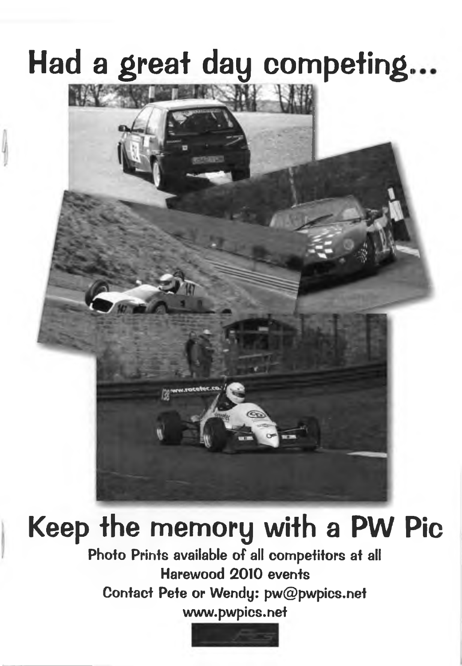# **Had a great day compefing.**



# **Keep the memory with a PW Pic**

**Photo Prints available of all competitors at all Harewood 2010 events Contact Pete or Wendy: [pw@pwpics.net](mailto:pw@pwpics.net) [www.pwpics.net](http://www.pwpics.net)**

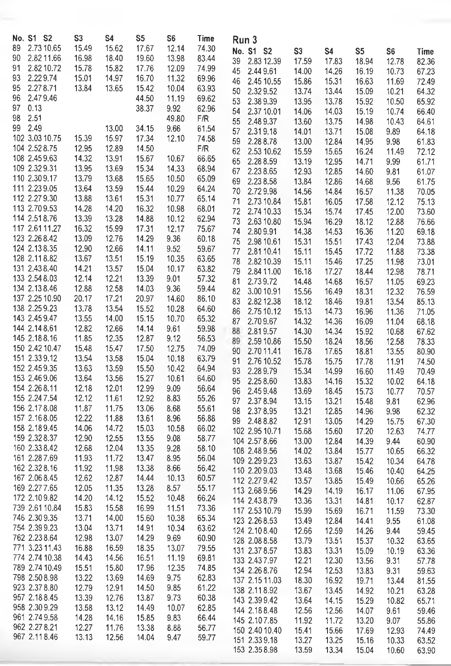| No. S1 S2                     | S <sub>3</sub> | S4    | S <sub>5</sub> | S <sub>6</sub> | Time  | Run 3            |       |           |       |                |       |
|-------------------------------|----------------|-------|----------------|----------------|-------|------------------|-------|-----------|-------|----------------|-------|
| 2.73 10.65<br>89              | 15.49          | 15.62 | 17.67          | 12.14          | 74.30 |                  |       |           |       |                |       |
| 2.8211.66<br>90               | 16.98          | 18.40 | 19.60          |                |       | No. S1 S2        | S3    | <b>S4</b> | S5    | S <sub>6</sub> | Time  |
|                               |                |       |                | 13.98          | 83.44 | 39<br>2.83 12.39 | 17.59 | 17.83     | 18.94 | 12.78          | 82.36 |
| 91<br>2.8210.72               | 15.78          | 15.82 | 17.76          | 12.09          | 74.99 | 45<br>2.449.61   | 14.00 | 14.26     | 16.19 | 10.73          | 67.23 |
| 2.229.74<br>93                | 15.01          | 14.97 | 16.70          | 11.32          | 69.96 | 46<br>2.45 10.55 | 15.86 | 15.31     | 16.63 | 11.69          | 72.49 |
| 95<br>2.278.71                | 13.84          | 13.65 | 15.42          | 10.04          | 63.93 | 50<br>2.329.52   | 13.74 | 13.44     | 15.09 | 10.21          | 64.32 |
| 2.479.46<br>96                |                |       | 44.50          | 11.19          | 69.62 | 53<br>2.389.39   | 13.95 | 13.78     | 15.92 | 10.50          | 65.92 |
| 97<br>0.13                    |                |       | 38.37          | 9.92           | 62.96 | 54<br>2.37 10.01 | 14.06 | 14.03     | 15.19 | 10.74          | 66.40 |
| 2.51<br>98                    |                |       |                | 49.80          | F/R   | 55<br>2.489.37   | 13.60 | 13.75     | 14.98 | 10.43          | 64.61 |
| 99<br>2.49                    |                | 13.00 | 34.15          | 9.66           | 61.54 | 57               |       |           |       |                |       |
| 102 3.03 10.75                | 15.39          | 15.97 | 17.34          | 12.10          | 74.58 | 2.319.18         | 14.01 | 13.71     | 15.08 | 9.89           | 64.18 |
| 104 2.52 8.75                 | 12.95          | 12.89 | 14.50          |                | F/R   | 59<br>2.288.78   | 13.00 | 12.84     | 14.95 | 9.98           | 61.83 |
| 108 2.45 9.63                 | 14.32          | 13.91 | 15.67          | 10.67          | 66.65 | 62<br>2.53 10.62 | 15.59 | 15.65     | 16.24 | 11.49          | 72.12 |
| 109 2.32 9.31                 | 13.95          | 13.69 | 15.34          | 14.33          | 68.94 | 65<br>2.288.59   | 13.19 | 12.95     | 14.71 | 9.99           | 61.71 |
| 110 2.30 9.17                 | 13.79          | 13.68 | 15.65          | 10.50          | 65.09 | 67<br>2.238.65   | 12.93 | 12.85     | 14.60 | 9.81           | 61.07 |
| 111 2.23 9.05                 | 13.64          | 13.59 | 15.44          | 10.29          | 64.24 | 69<br>2.238.58   | 13.84 | 12.86     | 14.68 | 9.56           | 61.75 |
| 112 2.27 9.30                 | 13.88          |       |                |                |       | 2.729.98<br>70   | 14.56 | 14.84     | 16.57 | 11.38          | 70.05 |
|                               |                | 13.61 | 15.31          | 10.77          | 65.14 | 71<br>2.73 10.84 | 15.81 | 16.05     | 17.58 | 12.12          | 75.13 |
| 113 2.70 9.53                 | 14.28          | 14.20 | 16.32          | 10.98          | 68.01 | 72<br>2.74 10.33 | 15.34 | 15.74     | 17.45 | 12.00          | 73.60 |
| 114 2.51 8.76                 | 13.39          | 13.28 | 14.88          | 10.12          | 62.94 | 73<br>2.63 10.80 | 15.94 | 16.29     | 18.12 | 12.88          | 76.66 |
| 117 2.61 11.27                | 16.32          | 15.99 | 17.31          | 12.17          | 75.67 | 74<br>2.809.91   | 14.38 | 14.53     | 16.36 | 11.20          | 69.18 |
| 123 2.26 8.42                 | 13.09          | 12.76 | 14.29          | 9.36           | 60.18 | 75<br>2.98 10.61 | 15.31 | 15.51     | 17.43 | 12.04          | 73.88 |
| 124 2.13 8.35                 | 12.90          | 12.66 | 14.11          | 9.52           | 59.67 | 77<br>2.8110.41  | 15.11 | 15.45     | 17.72 | 11.88          | 73.38 |
| 128 2.11 8.82                 | 13.67          | 13.51 | 15.19          | 10.35          | 63.65 | 78<br>2.8210.39  | 15.11 | 15.46     | 17.25 | 11.98          | 73.01 |
| 131 2.43 8.40                 | 14.21          | 13.57 | 15.04          | 10.17          | 63.82 | 79<br>2.84 11.00 | 16.18 | 17.27     | 18.44 | 12.98          | 78.71 |
| 133 2.54 8.03                 | 12.14          | 12.21 | 13.39          | 9.01           | 57.32 | 81<br>2.739.72   | 14.48 | 14.68     | 16.57 | 11.05          | 69.23 |
| 134 2.13 8.46                 | 12.88          | 12.58 | 14.03          | 9.36           | 59.44 | 82<br>3.00 10.91 | 15.56 | 16.49     | 18.31 | 12.32          | 76.59 |
| 137 2.25 10.90                | 20.17          | 17.21 | 20.97          | 14.60          | 86.10 | 83<br>2.82 12.38 | 18.12 | 18.46     | 19.81 | 13.54          | 85.13 |
| 138 2.25 9.23                 | 13.78          | 13.54 | 15.52          | 10.28          | 64.60 | 2.75 10.12<br>86 | 15.13 | 14.73     | 16.96 | 11.36          | 71.05 |
| 143 2.45 9.47                 | 13.55          | 14.00 | 15.15          | 10.70          | 65.32 | 87<br>2.709.67   |       |           |       |                |       |
| 144 2.14 8.61                 | 12.82          | 12.66 | 14.14          | 9.61           | 59.98 | 88<br>2.819.57   | 14.32 | 14.36     | 16.09 | 11.04          | 68.18 |
| 145 2.18 8.16                 | 11.85          | 12.35 | 12.87          | 9.12           | 56.53 |                  | 14.30 | 14.34     | 15.92 | 10.68          | 67.62 |
| 150 2.42 10.47                | 15.48          | 15.47 | 17.50          | 12.75          | 74.09 | 89<br>2.59 10.86 | 15.50 | 18.24     | 18.56 | 12.58          | 78.33 |
| 151 2.33 9.12                 | 13.54          | 13.58 | 15.04          | 10.18          | 63.79 | 90<br>2.70 11.41 | 16.78 | 17.65     | 18.81 | 13.55          | 80.90 |
| 152 2.45 9.35                 | 13.63          | 13.59 |                | 10.42          | 64.94 | 91<br>2.76 10.52 | 15.78 | 15.75     | 17.78 | 11.91          | 74.50 |
| 153 2.46 9.06                 |                |       | 15.50          |                |       | 93<br>2.289.79   | 15.34 | 14.99     | 16.60 | 11.49          | 70.49 |
| 154 2.26 8.11                 | 13.64          | 13.56 | 15.27          | 10.61          | 64.60 | 95<br>2.258.60   | 13.83 | 14.16     | 15.32 | 10.02          | 64.18 |
|                               | 12.18          | 12.01 | 12.99          | 9.09           | 56.64 | 96<br>2.459.48   | 13.69 | 18.45     | 15.73 | 10.77          | 70.57 |
| 155 2.24 7.54                 | 12.12          | 11.61 | 12.92          | 8.83           | 55.26 | 2.378.94<br>97   | 13.15 | 13.21     | 15.48 | 9.81           | 62.96 |
| 156 2.178.08                  | 11.87          | 11.75 | 13.06          | 8.68           | 55.61 | 98<br>2.378.95   | 13.21 | 12.85     | 14.96 | 9.98           | 62.32 |
| 157 2.168.05                  | 12.22          | 11.88 | 13.61          | 8.96           | 56.88 | 99<br>2.488.82   | 12.91 | 13.05     | 14.29 | 15.75          | 67.30 |
| 158 2.189.45                  | 14.06          | 14.72 | 15.03          | 10.58          | 66.02 | 102 2.95 10.71   | 15.68 | 15.60     | 17.20 | 12.63          | 74.77 |
| 159 2.32 8.37                 | 12.90          | 12.55 | 13.55          | 9.08           | 58.77 | 104 2.57 8.66    | 13.00 | 12.84     | 14.39 | 9.44           | 60.90 |
| 160 2.33 8.42                 | 12.68          | 12.04 | 13.35          | 9.28           | 58.10 | 108 2.48 9.56    | 14.02 | 13.84     | 15.77 | 10.65          | 66.32 |
| 161 2.28 7.69                 | 11.93          | 11.72 | 13.47          | 8.95           | 56.04 | 109 2.29 9.23    | 13.63 | 13.87     | 15.42 | 10.34          | 64.78 |
| 162 2.32 8.16                 | 11.92          | 11,98 | 13.38          | 8.66           | 56.42 | 110 2.20 9.03    | 13.48 | 13.68     | 15.46 | 10.40          | 64.25 |
| 167 2.06 8.45                 | 12.62          | 12.87 | 14.44          | 10.13          | 60.57 | 112 2.27 9.42    | 13.57 | 13.85     | 15.49 | 10.66          | 65.26 |
| 169 2.27 7.65                 | 12.05          | 11.35 | 13.28          | 8.57           | 55.17 | 113 2.68 9.56    | 14.29 | 14.19     | 16.17 | 11.06          | 67.95 |
| 172 2.10 9.82                 | 14.20          | 14.12 | 15.52          | 10.48          | 66.24 | 114 2.43 8.79    | 13.36 | 13.31     | 14.81 | 10.17          | 62.87 |
| 739 2.61 10.84                | 15.83          | 15.58 | 16.99          | 11.51          | 73.36 | 117 2.53 10.79   | 15.99 | 15.69     | 16.71 | 11.59          | 73.30 |
| 746 2.30 9.35                 | 13.71          | 14.00 | 15.60          | 10.38          | 65.34 | 123 2.26 8.53    | 13.49 | 12.84     |       |                |       |
| 754 2.39 9.23                 | 13.04          | 13.71 | 14.91          | 10.34          | 63.62 | 124 2.10 8.40    |       | 12.59     | 14.41 | 9,55           | 61.08 |
| 762 2.23 8.64                 | 12.98          | 13.07 | 14.29          | 9.69           | 60.90 |                  | 12.66 |           | 14.26 | 9.44           | 59.45 |
| 771 3.23 11.43                | 16.88          | 16.59 | 18.35          | 13.07          | 79.55 | 128 2.08 8.58    | 13.79 | 13.51     | 15.37 | 10.32          | 63.65 |
| 774 2.74 10.38                | 14.43          | 14.56 | 16.51          | 11.19          | 69.81 | 131 2.37 8.57    | 13.83 | 13.31     | 15.09 | 10.19          | 63.36 |
| 789 2.74 10.49                | 15.51          | 15.80 | 17.96          | 12.35          | 74.85 | 133 2.43 7.97    | 12.21 | 12.30     | 13.56 | 9.31           | 57.78 |
| 798 2.50 8.98                 | 13.22          | 13.69 | 14.69          | 9.75           | 62.83 | 134 2.26 8.76    | 12.94 | 12.53     | 13.83 | 9.31           | 59.63 |
| 923 2.37 8.80                 |                |       |                | 9.85           |       | 137 2.15 11.03   | 18.30 | 16.92     | 19.71 | 13.44          | 81.55 |
|                               | 12.79          | 12.91 | 14.50          |                | 61.22 | 138 2.11 8.92    | 13.67 | 13.45     | 14.92 | 10.21          | 63.28 |
| 957 2.188.45<br>958 2.30 9.29 | 13.39          | 12.76 | 13.87          | 9.73           | 60.38 | 143 2.39 9.42    | 13.64 | 14.15     | 15.29 | 10.82          | 65.71 |
|                               | 13.58          | 13.12 | 14.49          | 10.07          | 62.85 | 144 2.188.48     | 12.56 | 12.56     | 14.07 | 9.61           | 59.46 |
| 961 2.74 9.58                 | 14.28          | 14.16 | 15.85          | 9.83           | 66.44 | 145 2.107.85     | 11.92 | 11.72     | 13.20 | 9.07           | 55.86 |
| 962 2.27 8.21                 | 12.27          | 11.76 | 13.38          | 8.88           | 56.77 | 150 2.40 10.40   | 15.41 | 15.66     | 17.69 | 12.93          | 74.49 |
| 967 2.11 8.46                 | 13.13          | 12.56 | 14.04          | 9.47           | 59.77 | 151 2.33 9.18    | 13.27 | 13.25     | 15.16 | 10.33          | 63.52 |
|                               |                |       |                |                |       | 153 2.35 8.98    | 13.59 | 13.34     | 15.04 | 10.60          | 63.90 |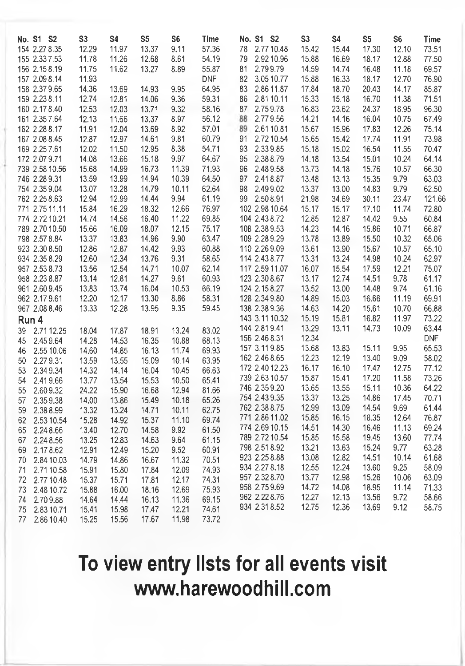|       | No. S1 S2      | S <sub>3</sub> | S4    | S <sub>5</sub> | S <sub>6</sub> | Time       | No. S1 S2        | S <sub>3</sub> | S <sub>4</sub> | S <sub>5</sub> | S6    | Time       |
|-------|----------------|----------------|-------|----------------|----------------|------------|------------------|----------------|----------------|----------------|-------|------------|
|       | 154 2.27 8.35  | 12.29          | 11.97 | 13.37          | 9.11           | 57.36      | 2.77 10.48<br>78 | 15.42          | 15.44          | 17.30          | 12.10 | 73.51      |
|       | 155 2.33 7.53  | 11.78          | 11.26 | 12.68          | 8.61           | 54.19      | 2.92 10.96<br>79 | 15.88          | 16.69          | 18.17          | 12.88 | 77.50      |
|       | 156 2.15 8.19  | 11.75          | 11.62 | 13.27          | 8.89           | 55.87      | 2.799.79<br>81   | 14.59          | 14.74          | 16.48          | 11.18 | 69.57      |
|       | 157 2.09 8.14  | 11.93          |       |                |                | <b>DNF</b> | 3.05 10.77<br>82 | 15.88          | 16.33          | 18.17          | 12.70 | 76.90      |
|       | 158 2.37 9.65  | 14.36          | 13.69 | 14.93          | 9.95           | 64.95      | 83<br>2.86 11.87 | 17.84          | 18.70          | 20.43          | 14.17 | 85.87      |
|       | 159 2.23 8.11  | 12.74          | 12.81 | 14.06          | 9.36           | 59.31      | 2.8110.11<br>86  | 15.33          | 15.18          | 16.70          | 11.38 | 71.51      |
|       | 160 2.17 8.40  | 12.53          | 12.03 | 13.71          | 9.32           | 58.16      | 2.759.78<br>87   | 16.83          | 23.62          | 24.37          | 18.95 | 96.30      |
|       | 161 2.35 7.64  | 12.13          | 11.66 | 13.37          | 8.97           | 56.12      | 2.779.56<br>88   | 14.21          | 14.16          | 16.04          | 10.75 | 67.49      |
|       | 162 2.28 8.17  | 11.91          | 12.04 | 13.69          | 8.92           | 57.01      | 89<br>2.6110.81  | 15.67          | 15.96          | 17.83          | 12.26 | 75.14      |
|       | 167 2.08 8.45  | 12.87          | 12.97 | 14.61          | 9.81           | 60.79      | 2.72 10.54<br>91 | 15.65          | 15.42          | 17.74          | 11.91 | 73.98      |
|       | 169 2.25 7.61  | 12.02          | 11.50 | 12.95          | 8.38           | 54.71      | 93<br>2.339.85   | 15.18          | 15.02          | 16.54          | 11.55 | 70.47      |
|       | 172 2.07 9.71  | 14.08          | 13.66 | 15.18          | 9.97           | 64.67      | 95<br>2.388.79   | 14.18          | 13.54          | 15.01          | 10.24 | 64.14      |
|       | 739 2.58 10.56 | 15.68          | 14.99 | 16.73          | 11.39          | 71.93      | 96<br>2.489.58   | 13.73          | 14.18          | 15.76          | 10.57 | 66.30      |
|       | 746 2.28 9.31  | 13.59          | 13.99 | 14.94          | 10.39          | 64.50      | 97<br>2.418.87   | 13.48          | 13.13          | 15.35          | 9.79  | 63.03      |
|       | 754 2.35 9.04  | 13.07          | 13.28 | 14.79          | 10.11          | 62.64      | 98<br>2.499.02   | 13.37          | 13.00          | 14.83          | 9.79  | 62.50      |
|       | 762 2.25 8.63  | 12.94          | 12.99 | 14.44          | 9.94           | 61.19      | 99<br>2.508.91   | 21.98          | 34.69          | 30.11          | 23.47 | 121.66     |
|       | 771 2.75 11.11 | 15.84          | 16.29 | 18.32          | 12.66          | 76.97      | 102 2.98 10.64   | 15.17          | 15.17          | 17.10          | 11.74 | 72.80      |
|       | 774 2.72 10.21 | 14.74          | 14.56 | 16.40          | 11.22          | 69.85      | 104 2.43 8.72    | 12.85          | 12.87          | 14.42          | 9.55  | 60,84      |
|       | 789 2.70 10.50 | 15.66          | 16.09 | 18.07          | 12.15          | 75.17      | 108 2.38 9.53    | 14.23          | 14.16          | 15.86          | 10.71 | 66.87      |
|       | 798 2.57 8.84  | 13.37          | 13.83 | 14.96          | 9.90           | 63.47      | 109 2.28 9.29    | 13.78          | 13.89          | 15.50          | 10.32 | 65.06      |
|       | 923 2.30 8.50  | 12.86          | 12.87 | 14.42          | 9.93           | 60.88      | 110 2.26 9.09    | 13.61          | 13.90          | 15.67          | 10.57 | 65.10      |
|       | 934 2.35 8.29  | 12.60          | 12.34 | 13.76          | 9.31           | 58.65      | 114 2.43 8.77    | 13.31          | 13.24          | 14.98          | 10.24 | 62.97      |
|       | 957 2.53 8.73  | 13.56          | 12.54 | 14.71          | 10.07          | 62.14      | 117 2.59 11.07   | 16.07          | 15.54          | 17.59          | 12.21 | 75.07      |
|       | 958 2.23 8.87  | 13.14          | 12.81 | 14.27          | 9.61           | 60.93      | 123 2.30 8.67    | 13.17          | 12.74          | 14.51          | 9.78  | 61.17      |
|       | 961 2.60 9.45  | 13.83          | 13.74 | 16.04          | 10.53          | 66.19      | 124 2.15 8.27    | 13.52          | 13.00          | 14.48          | 9.74  | 61.16      |
|       | 962 2.17 9.61  | 12.20          | 12.17 | 13.30          | 8.86           | 58.31      | 128 2.34 9.80    | 14.89          | 15.03          | 16.66          | 11.19 | 69.91      |
|       | 967 2.08 8.46  | 13.33          | 12.28 | 13.95          | 9.35           | 59.45      | 138 2.38 9.36    | 14.63          | 14.20          | 15.61          | 10.70 | 66.88      |
| Run 4 |                |                |       |                |                |            | 143 3.11 10.32   | 15.19          | 15.81          | 16.82          | 11.97 | 73.22      |
| 39    | 2.71 12.25     | 18.04          | 17.87 | 18.91          | 13.24          | 83.02      | 144 2.81 9.41    | 13.29          | 13.11          | 14.73          | 10.09 | 63.44      |
| 45    | 2.459.64       | 14.28          | 14.53 | 16.35          | 10.88          | 68.13      | 156 2.46 8.31    | 12.34          |                |                |       | <b>DNF</b> |
| 46    | 2.55 10.06     | 14.60          | 14.85 | 16.13          | 11.74          | 69.93      | 157 3.11 9.85    | 13.68          | 13.83          | 15.11          | 9.95  | 65.53      |
| 50    | 2.279.31       | 13.59          | 13.55 | 15.09          | 10.14          | 63.95      | 162 2.46 8.65    | 12.23          | 12.19          | 13.40          | 9.09  | 58.02      |
| 53    | 2.349.34       | 14.32          | 14.14 | 16.04          | 10.45          | 66.63      | 172 2.40 12.23   | 16.17          | 16.10          | 17.47          | 12.75 | 77.12      |
| 54    | 2.419.66       | 13.77          | 13.54 | 15.53          | 10.50          | 65.41      | 739 2.63 10.57   | 15.87          | 15.41          | 17.20          | 11.58 | 73.26      |
| 55    | 2.609.32       | 24.22          | 15.90 | 16.68          | 12.94          | 81.66      | 746 2.359.20     | 13.65          | 13.55          | 15.11          | 10.36 | 64.22      |
| 57    | 2.359.38       | 14.00          | 13.86 | 15.49          | 10.18          | 65.26      | 754 2.43 9.35    | 13.37          | 13.25          | 14.86          | 17.45 | 70.71      |
| 59    | 2.388.99       | 13.32          | 13.24 | 14.71          | 10.11          | 62.75      | 762 2.38 8.75    | 12.99          | 13.09          | 14.54          | 9.69  | 61,44      |
| 62    | 2.53 10.54     | 15.28          | 14.92 | 15.37          | 11.10          | 69.74      | 771 2.86 11.02   | 15.85          | 16.15          | 18.35          | 12.64 | 76.87      |
| 65    | 2.248.66       | 13.40          | 12.70 | 14.58          | 9.92           | 61.50      | 774 2.69 10.15   | 14.51          | 14.30          | 16.46          | 11.13 | 69.24      |
| 67    | 2.24 8.56      | 13.25          | 12.83 | 14.63          | 9.64           | 61.15      | 789 2.72 10.54   | 15.85          | 15.58          | 19.45          | 13.60 | 77.74      |
| 69    | 2.178.62       | 12.91          | 12.49 | 15.20          | 9.52           | 60.91      | 798 2.51 8.92    | 13.21          | 13.63          | 15.24          | 9.77  | 63.28      |
| 70    | 2.84 10.03     | 14.79          | 14.86 | 16.67          | 11.32          | 70.51      | 923 2.25 8.88    | 13.08          | 12.82          | 14.51          | 10.14 | 61.68      |
| 71    | 2.71 10.58     | 15.91          | 15.80 | 17.84          | 12.09          | 74.93      | 934 2.27 8.18    | 12.55          | 12.24          | 13.60          | 9.25  | 58.09      |
| 72    | 2.77 10.48     | 15.37          | 15.71 | 17.81          | 12.17          | 74.31      | 957 2.32 8.70    | 13.77          | 12.98          | 15.26          | 10.06 | 63.09      |
| 73    | 2.48 10.72     | 15.88          | 16.00 | 18.16          | 12.69          | 75.93      | 958 2.75 9.69    | 14.72          | 14.08          | 18.95          | 11.14 | 71.33      |
| 74    | 2.709.88       | 14.64          | 14.44 | 16.13          | 11.36          | 69.15      | 962 2.22 8.76    | 12.27          | 12.13          | 13.56          | 9.72  | 58.66      |
| 75    | 2.83 10.71     | 15.41          | 15.98 | 17.47          | 12.21          | 74.61      | 934 2.31 8.52    | 12.75          | 12.36          | 13.69          | 9.12  | 58.75      |
| 77    | 2.86 10.40     | 15.25          | 15.56 | 17.67          | 11.98          | 73.72      |                  |                |                |                |       |            |

# **To view entry lists for ail events visit [www.liarewoodliiil.com](http://www.liarewoodliiil.com)**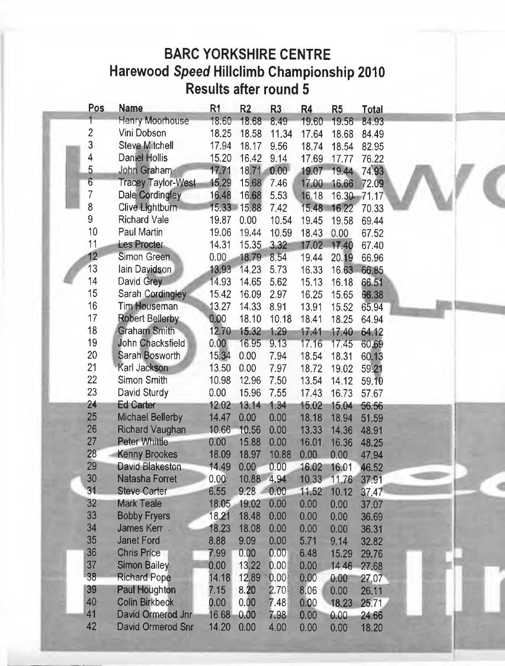### **BARC YORKSHIRE CENTRE Harewood** *Speed* **Hillclimb Championship 2010 Results after round 5**

| Pos                     | <b>Name</b>               | R1                | R <sub>2</sub> | R <sub>3</sub> | R4    | R <sub>5</sub> | Total |
|-------------------------|---------------------------|-------------------|----------------|----------------|-------|----------------|-------|
| 1                       | Henry Moorhouse           | 18.60             | 18.68          | 8.49           | 19.60 | 19.56          | 84.93 |
| $\overline{\mathbf{c}}$ | Vini Dobson               | 18.25             | 18.58          | 11.34          | 17.64 | 18.68          | 84.49 |
| 3                       | Steve Mitchell            | 17.94             | 18.17          | 9.56           | 18.74 | 18.54          | 82.95 |
| 4                       | Daniel Hollis             | 15.20             | 16.42          | 9.14           | 17.69 | 17.77          | 76.22 |
| $\overline{5}$          | John Graham               | 17.71             | 18,71          | 0.00           | 19.07 | 19.44          | 74.93 |
| $\overline{6}$          | <b>Tracey Taylor-West</b> | 15.29             | 15,68          | 7.46           | 17.00 | 16.66          | 72.09 |
| $\overline{7}$          | Dale Cordingley           | 16.48             | 16.68          | 5.53           | 16.18 | $16.30 -$      | 71.17 |
| 8                       | Clive Lightburn           | 15.33             | 15.88          | 7.42           | 15.48 | 16.22          | 70.33 |
| 9                       | <b>Richard Vale</b>       | 19.87             | 0.00           | 10.54          | 19.45 | 19.58          | 69.44 |
| 10                      | Paul Martin               | 19.06             | 19.44          | 10.59          | 18.43 | 0.00           | 67.52 |
| 11                      | <b>Les Procter</b>        | 14.31             | 15.35          | 3.32           | 17.02 | 17.40          | 67.40 |
| 12                      | Simon Green.              | 0.00              | 18.79          | 8.54           | 19.44 | 20.19          | 66.96 |
| 13                      | lain Davidson             | 13,93             | 14.23          | 5.73           | 16.33 | 16.63          | 66.85 |
| 14                      | David Grey                | 14.93             | 14.65          | 5.62           | 15.13 | 16.18          | 66.51 |
| 15                      | Sarah Cordingley          | 15.42             | 16.09          | 2.97           | 16.25 | 15.65          | 66.38 |
| 16                      | Tim Houseman              | 13.27             | 14.33          | 8.91           | 13.91 | 15.52          | 65.94 |
| 17                      | Robert Bellerby           | 0.00              | 18.10          | 10.18          | 18.41 | 18.25          | 64.94 |
| 18                      | Graham Smith              | 12.70             | 15.32          | 1.29           | 17.41 | 17.40          | 64.12 |
| 19                      | John Chacksfield          | 0.00              | 16.95          | 9.13           | 17.16 | 17.45          | 60,69 |
| 20                      | Sarah Bosworth            | 15.34             | 0.00           | 7.94           | 18.54 | 18.31          | 60.13 |
| 21                      | Karl Jackson              | 13.50             | 0.00           | 7.97           | 18.72 | 19.02          | 59.21 |
| 22                      | Simon Smith               | 10.98             | 12.96          | 7.50           | 13.54 | 14.12          | 59.10 |
| 23                      | David Sturdy              | 0.00              | 15.96          | 7.55           | 17.43 | 16.73          | 57.67 |
| 24                      | <b>Ed Carter</b>          | 12.02             | 13.14          | 1.34           | 15.02 | 15.04          | 56.56 |
| 25                      | <b>Michael Bellerby</b>   | 14.47             | 0.00           | 0.00           | 18.18 | 18.94          | 51.59 |
| 26                      | <b>Richard Vaughan</b>    | 10.66             | 10.56          | 0.00           | 13.33 | 14.36          | 48.91 |
| 27                      | Peter Whittle             | 0.00              | 15.88          | 0.00           | 16.01 | 16.36          | 48.25 |
| 28                      | <b>Kenny Brookes</b>      | 18.09             | 18.97          | 10.88          | 0.00  | 0.00           | 47.94 |
| 29                      | <b>David Blakeston</b>    | 14.49             | 0.00           | 0.00           | 16.02 | 16.01          | 46.52 |
| 30                      | Natasha Forret            | 0.00 <sub>2</sub> | 10.88          | 4.94           | 10.33 | 11.76          | 37.91 |
| 31                      | <b>Steve Carter</b>       | 6.55              | $9.28 -$       | 0.00           | 11.52 | 10.12          | 37.47 |
| 32                      | <b>Mark Teale</b>         | 18.05             | 19.02          | 0.00           | 0.00  | 0.00           | 37.07 |
| 33                      | <b>Bobby Fryers</b>       | 18.21             | 18.48          | 0.00           | 0.00  | 0.00           | 36.69 |
| 34                      | <b>James Kerr</b>         | 18.23             | 18.08          | 0.00           | 0.00  | 0.00           | 36.31 |
| 35                      | <b>Janet Ford</b>         | 8.88              | 9.09           | 0.00           | 5.71  | 9.14           | 32.82 |
| 36                      | <b>Chris Price</b>        | 7.99              | 0.00           | 0.00           | 6.48  | 15.29          | 29.76 |
| 37                      | <b>Simon Bailey</b>       | 0.00              | 13.22          | 0.00           | 0.00  | 14.46          | 27.68 |
| 38                      | <b>Richard Pope</b>       | 14.18             | 12.89          | 0.00           | 0.00  | 0.00           | 27,07 |
| 39                      | Paul Houghton             | 7.15              | 8.20           | 2.70           | 8.06  | 0.00           | 26.11 |
| 40                      | <b>Colin Birkbeck</b>     | 0.00              | 0.00           | 7.48           | 0.00  | 18.23          | 25.71 |
| 41                      | David Ormerod Jnr         | 16.68             | 0.00           | 7.98           | 0.00  | 0.00           | 24.66 |
| 42                      | David Ormerod Snr         | 14.20             | 0.00           | 4.00           | 0.00  | 0.00           | 18.20 |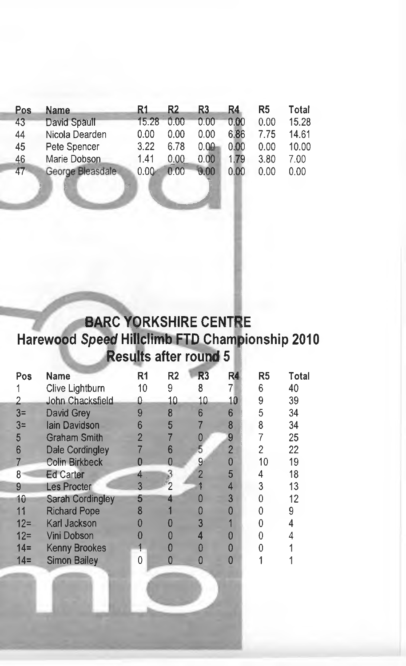| Pos    | <b>Name</b>      | R1                | R2   | R3   | R4.  | R5   | Total |
|--------|------------------|-------------------|------|------|------|------|-------|
| 43     | David Spaull     | 15.28             | 0.00 | 0.00 | 0.00 | 0.00 | 15.28 |
| 44     | Nicola Dearden   | 0.00              | 0.00 | 0.00 | 6.86 | 7 75 | 14.61 |
| 45     | Pete Spencer     | 3.22              | 6.78 | 0.00 | 0.00 | 0.00 | 10.00 |
| 46     | Marie Dobson     | 1.41              | 0.00 | 0.00 | 1.79 | 3.80 | 7.00  |
| $47 -$ | George Bleasdale | 0.00 <sub>1</sub> | 0.00 | 0.00 | 0.00 | 0.00 | 0.00  |

' ' • *y j*

### **BARC YORKSHIRE CENTRE Harewood Speed Hillclimb FTD Championship 2010 Results after round 5 i**

• I

| Pos    | <b>Name</b>             | R1 | R <sub>2</sub> | R <sub>3</sub> | R4             | R5 | Total |
|--------|-------------------------|----|----------------|----------------|----------------|----|-------|
|        | Clive Lightburn         | 10 | 9              | 8              |                | 6  | 40    |
|        | John Chacksfield        | Ω  | 10             | 10             | 10             | 9  | 39    |
| $3=$   | David Grey              |    | 8              | 6              | 6              | 5  | 34    |
| $3=$   | <b>lain Davidson</b>    | հ  | 5              |                | 8              | 8  | 34    |
| 5      | <b>Graham Smith</b>     | 2  |                |                | 9              |    | 25    |
| 6      | Dale Cordingley         |    | 6              | 5              | $\overline{2}$ | 2  | 22    |
|        | <b>Colin Birkbeck</b>   |    |                | 9              | 0              | 10 | 19    |
| 8      | <b>Ed Carter</b>        |    |                | $\overline{2}$ | 5              | 4  | 18    |
| 9      | <b>Les Procter</b>      | 3  | 2              |                | 4              | 3  | 13    |
| 10     | <b>Sarah Cordingley</b> | 5  |                |                | 3              |    | 12    |
| 11     | <b>Richard Pope</b>     | 8  |                |                | n              |    | 9     |
| $12=$  | Karl Jackson            |    |                |                |                |    |       |
| $12 =$ | <b>Vini Dobson</b>      |    |                |                |                |    |       |
| $14 =$ | <b>Kenny Brookes</b>    |    |                |                |                |    |       |
| $14 =$ | <b>Simon Bailey</b>     | Ω  |                |                |                |    |       |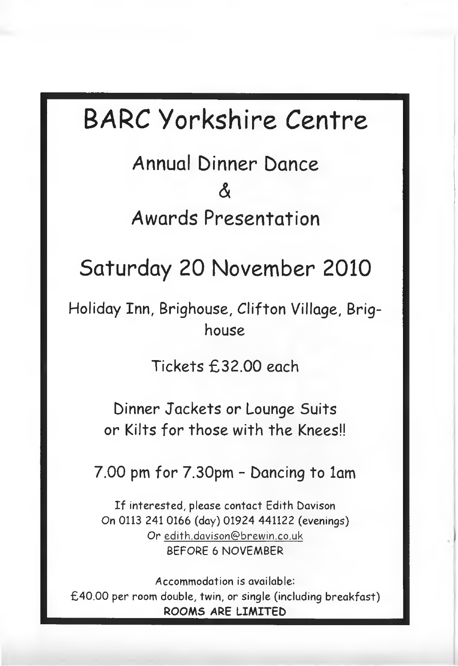# **BARC Yorkshire** *Centre*

**Annual Dinner Dance**  $\mathcal{X}$ **Awards Presentation**

## **Saturday 20 November 2010**

**Holiday Inn, Brighouse, Clifton Village, Brighouse**

**Tickets £32.00 each**

**Dinner Jackets or Lounge Suits or Kilts for those with the Knees!!**

**7.00 pm for 7.30pm - Dancing to lam**

If interested, please contact Edith Davison On 0113 241 0166 (day) 01924 441122 (evenings) Or **[edith.dQ vison@ brew in.co.uk](mailto:edith.dQvison@brewin.co.uk)** BEFORE 6 NOVEMBER

Accommodation is available: £40.00 per room double, twin, or single (including breakfast) **ROOMS ARE LIMITED**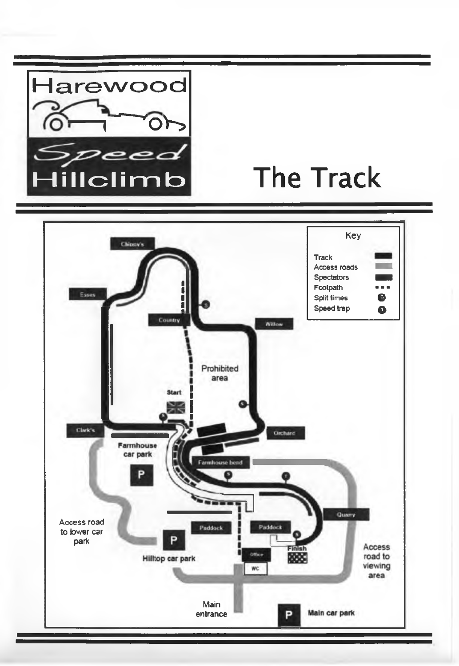